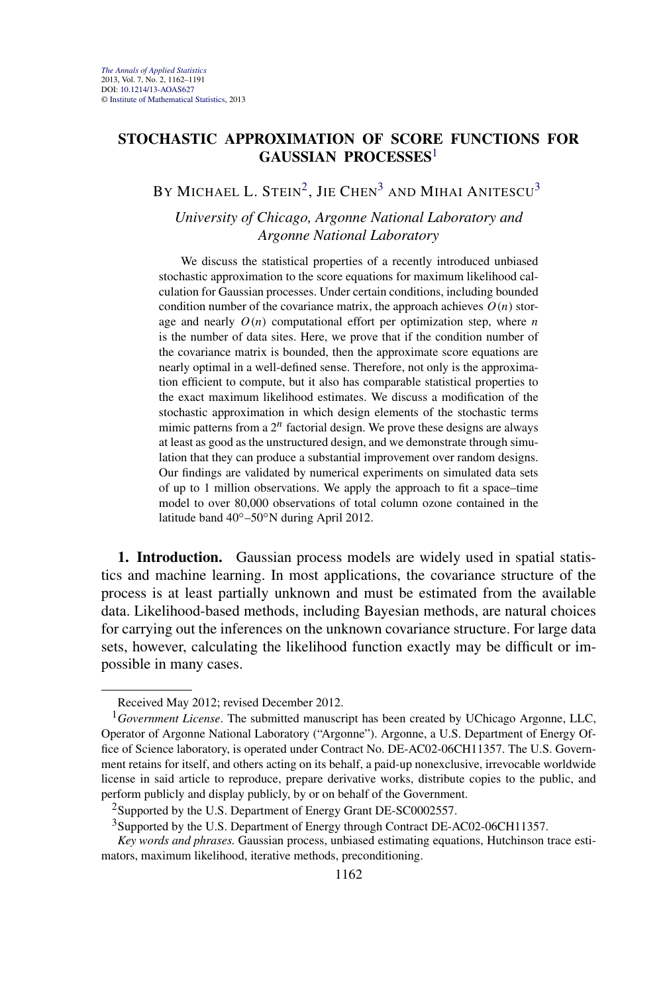## **STOCHASTIC APPROXIMATION OF SCORE FUNCTIONS FOR GAUSSIAN PROCESSES**<sup>1</sup>

BY MICHAEL L. STEIN<sup>2</sup>, JIE CHEN<sup>3</sup> AND MIHAI ANITESCU<sup>3</sup>

*University of Chicago, Argonne National Laboratory and Argonne National Laboratory*

We discuss the statistical properties of a recently introduced unbiased stochastic approximation to the score equations for maximum likelihood calculation for Gaussian processes. Under certain conditions, including bounded condition number of the covariance matrix, the approach achieves  $O(n)$  storage and nearly  $O(n)$  computational effort per optimization step, where *n* is the number of data sites. Here, we prove that if the condition number of the covariance matrix is bounded, then the approximate score equations are nearly optimal in a well-defined sense. Therefore, not only is the approximation efficient to compute, but it also has comparable statistical properties to the exact maximum likelihood estimates. We discuss a modification of the stochastic approximation in which design elements of the stochastic terms mimic patterns from a  $2^n$  factorial design. We prove these designs are always at least as good as the unstructured design, and we demonstrate through simulation that they can produce a substantial improvement over random designs. Our findings are validated by numerical experiments on simulated data sets of up to 1 million observations. We apply the approach to fit a space–time model to over 80,000 observations of total column ozone contained in the latitude band 40◦–50◦N during April 2012.

**1. Introduction.** Gaussian process models are widely used in spatial statistics and machine learning. In most applications, the covariance structure of the process is at least partially unknown and must be estimated from the available data. Likelihood-based methods, including Bayesian methods, are natural choices for carrying out the inferences on the unknown covariance structure. For large data sets, however, calculating the likelihood function exactly may be difficult or impossible in many cases.

Received May 2012; revised December 2012.

<sup>1</sup>*Government License*. The submitted manuscript has been created by UChicago Argonne, LLC, Operator of Argonne National Laboratory ("Argonne"). Argonne, a U.S. Department of Energy Office of Science laboratory, is operated under Contract No. DE-AC02-06CH11357. The U.S. Government retains for itself, and others acting on its behalf, a paid-up nonexclusive, irrevocable worldwide license in said article to reproduce, prepare derivative works, distribute copies to the public, and perform publicly and display publicly, by or on behalf of the Government.

 $2$ Supported by the U.S. Department of Energy Grant DE-SC0002557.

<sup>3</sup>Supported by the U.S. Department of Energy through Contract DE-AC02-06CH11357.

*Key words and phrases.* Gaussian process, unbiased estimating equations, Hutchinson trace estimators, maximum likelihood, iterative methods, preconditioning.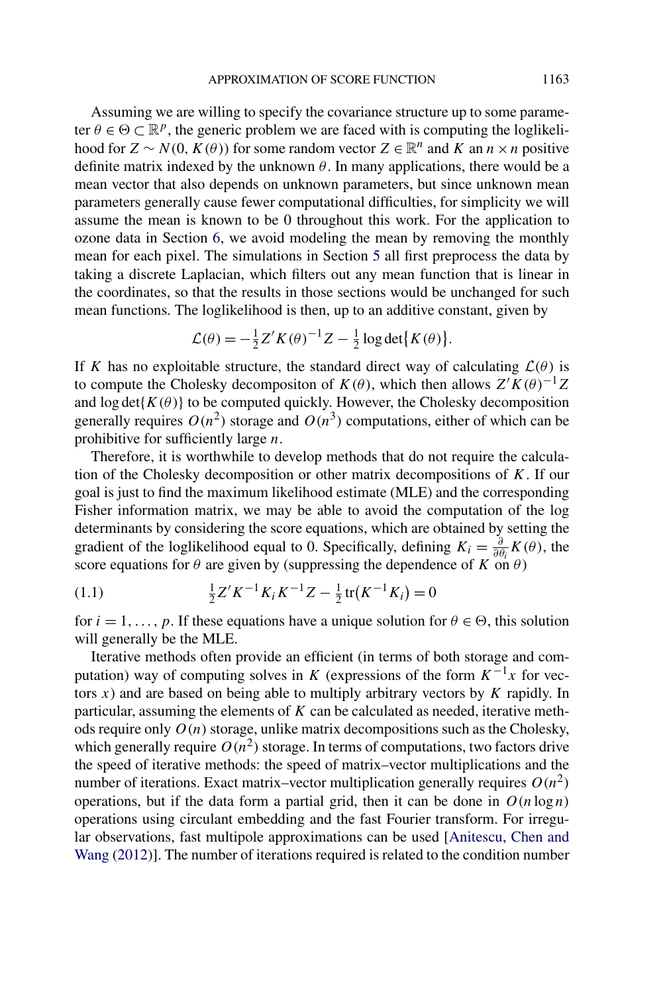<span id="page-1-0"></span>Assuming we are willing to specify the covariance structure up to some parameter  $\theta \in \Theta \subset \mathbb{R}^p$ , the generic problem we are faced with is computing the loglikelihood for  $Z \sim N(0, K(\theta))$  for some random vector  $Z \in \mathbb{R}^n$  and K an  $n \times n$  positive definite matrix indexed by the unknown  $\theta$ . In many applications, there would be a mean vector that also depends on unknown parameters, but since unknown mean parameters generally cause fewer computational difficulties, for simplicity we will assume the mean is known to be 0 throughout this work. For the application to ozone data in Section [6,](#page-20-0) we avoid modeling the mean by removing the monthly mean for each pixel. The simulations in Section [5](#page-15-0) all first preprocess the data by taking a discrete Laplacian, which filters out any mean function that is linear in the coordinates, so that the results in those sections would be unchanged for such mean functions. The loglikelihood is then, up to an additive constant, given by

$$
\mathcal{L}(\theta) = -\frac{1}{2}Z'K(\theta)^{-1}Z - \frac{1}{2}\log \det \{K(\theta)\}.
$$

If *K* has no exploitable structure, the standard direct way of calculating  $\mathcal{L}(\theta)$  is to compute the Cholesky decompositon of  $K(\theta)$ , which then allows  $Z^{\prime}K(\theta)^{-1}Z$ and  $\log \det\{K(\theta)\}\$ to be computed quickly. However, the Cholesky decomposition generally requires  $O(n^2)$  storage and  $O(n^3)$  computations, either of which can be prohibitive for sufficiently large *n*.

Therefore, it is worthwhile to develop methods that do not require the calculation of the Cholesky decomposition or other matrix decompositions of *K*. If our goal is just to find the maximum likelihood estimate (MLE) and the corresponding Fisher information matrix, we may be able to avoid the computation of the log determinants by considering the score equations, which are obtained by setting the gradient of the loglikelihood equal to 0. Specifically, defining  $K_i = \frac{\partial}{\partial \theta_i} K(\theta)$ , the score equations for  $\theta$  are given by (suppressing the dependence of *K* on  $\theta$ )

(1.1) 
$$
\frac{1}{2}Z'K^{-1}K_iK^{-1}Z - \frac{1}{2}\text{tr}(K^{-1}K_i) = 0
$$

for  $i = 1, \ldots, p$ . If these equations have a unique solution for  $\theta \in \Theta$ , this solution will generally be the MLE.

Iterative methods often provide an efficient (in terms of both storage and computation) way of computing solves in *K* (expressions of the form  $K^{-1}x$  for vectors *x*) and are based on being able to multiply arbitrary vectors by *K* rapidly. In particular, assuming the elements of *K* can be calculated as needed, iterative methods require only  $O(n)$  storage, unlike matrix decompositions such as the Cholesky, which generally require  $O(n^2)$  storage. In terms of computations, two factors drive the speed of iterative methods: the speed of matrix–vector multiplications and the number of iterations. Exact matrix–vector multiplication generally requires  $O(n^2)$ operations, but if the data form a partial grid, then it can be done in  $O(n \log n)$ operations using circulant embedding and the fast Fourier transform. For irregular observations, fast multipole approximations can be used [\[Anitescu, Chen and](#page-28-0) [Wang](#page-28-0) [\(2012\)](#page-28-0)]. The number of iterations required is related to the condition number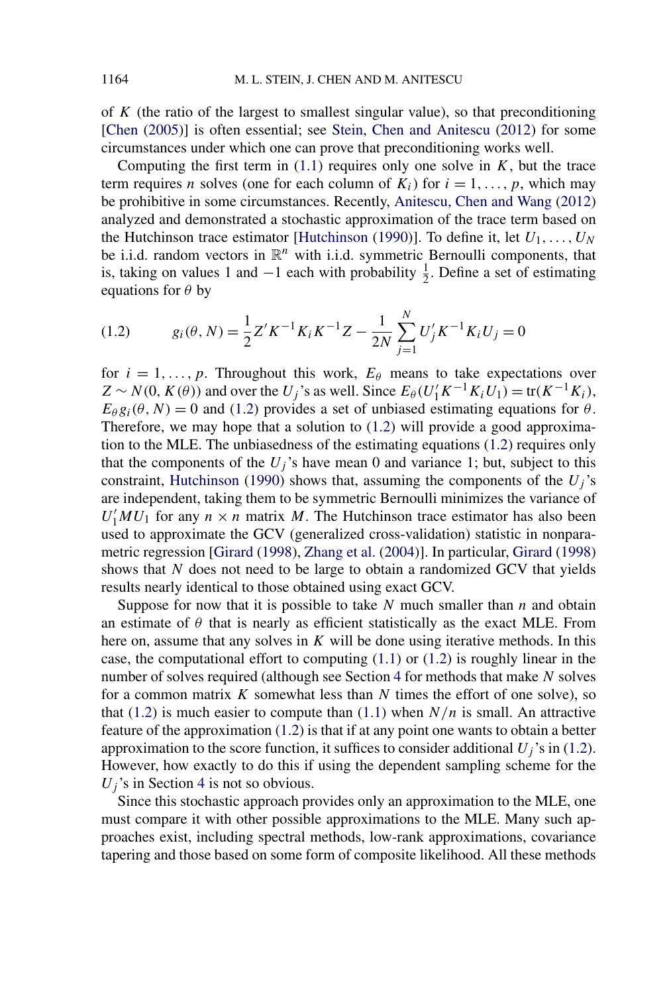of *K* (the ratio of the largest to smallest singular value), so that preconditioning [\[Chen](#page-28-0) [\(2005\)](#page-28-0)] is often essential; see [Stein, Chen and Anitescu](#page-29-0) [\(2012\)](#page-29-0) for some circumstances under which one can prove that preconditioning works well.

Computing the first term in  $(1.1)$  requires only one solve in  $K$ , but the trace term requires *n* solves (one for each column of  $K_i$ ) for  $i = 1, \ldots, p$ , which may be prohibitive in some circumstances. Recently, [Anitescu, Chen and Wang](#page-28-0) [\(2012\)](#page-28-0) analyzed and demonstrated a stochastic approximation of the trace term based on the Hutchinson trace estimator [\[Hutchinson](#page-29-0) [\(1990\)](#page-29-0)]. To define it, let  $U_1, \ldots, U_N$ be i.i.d. random vectors in  $\mathbb{R}^n$  with i.i.d. symmetric Bernoulli components, that is, taking on values 1 and  $-1$  each with probability  $\frac{1}{2}$ . Define a set of estimating equations for *θ* by

(1.2) 
$$
g_i(\theta, N) = \frac{1}{2} Z' K^{-1} K_i K^{-1} Z - \frac{1}{2N} \sum_{j=1}^N U'_j K^{-1} K_i U_j = 0
$$

for  $i = 1, \ldots, p$ . Throughout this work,  $E_{\theta}$  means to take expectations over  $Z \sim N(0, K(\theta))$  and over the *U<sub>j</sub>*'s as well. Since  $E_{\theta}(U_1'K^{-1}K_iU_1) = \text{tr}(K^{-1}K_i)$ ,  $E_{\theta}g_i(\theta, N) = 0$  and (1.2) provides a set of unbiased estimating equations for  $\theta$ . Therefore, we may hope that a solution to (1.2) will provide a good approximation to the MLE. The unbiasedness of the estimating equations (1.2) requires only that the components of the  $U_j$ 's have mean 0 and variance 1; but, subject to this constraint, [Hutchinson](#page-29-0) [\(1990\)](#page-29-0) shows that, assuming the components of the  $U_j$ 's are independent, taking them to be symmetric Bernoulli minimizes the variance of  $U_1'MU_1$  for any  $n \times n$  matrix *M*. The Hutchinson trace estimator has also been used to approximate the GCV (generalized cross-validation) statistic in nonparametric regression [\[Girard](#page-28-0) [\(1998\)](#page-28-0), [Zhang et al.](#page-29-0) [\(2004\)](#page-29-0)]. In particular, [Girard](#page-28-0) [\(1998\)](#page-28-0) shows that *N* does not need to be large to obtain a randomized GCV that yields results nearly identical to those obtained using exact GCV.

Suppose for now that it is possible to take *N* much smaller than *n* and obtain an estimate of  $\theta$  that is nearly as efficient statistically as the exact MLE. From here on, assume that any solves in *K* will be done using iterative methods. In this case, the computational effort to computing  $(1.1)$  or  $(1.2)$  is roughly linear in the number of solves required (although see Section [4](#page-10-0) for methods that make *N* solves for a common matrix *K* somewhat less than *N* times the effort of one solve), so that (1.2) is much easier to compute than [\(1.1\)](#page-1-0) when  $N/n$  is small. An attractive feature of the approximation (1.2) is that if at any point one wants to obtain a better approximation to the score function, it suffices to consider additional  $U_j$ 's in (1.2). However, how exactly to do this if using the dependent sampling scheme for the  $U_i$ 's in Section [4](#page-10-0) is not so obvious.

Since this stochastic approach provides only an approximation to the MLE, one must compare it with other possible approximations to the MLE. Many such approaches exist, including spectral methods, low-rank approximations, covariance tapering and those based on some form of composite likelihood. All these methods

<span id="page-2-0"></span>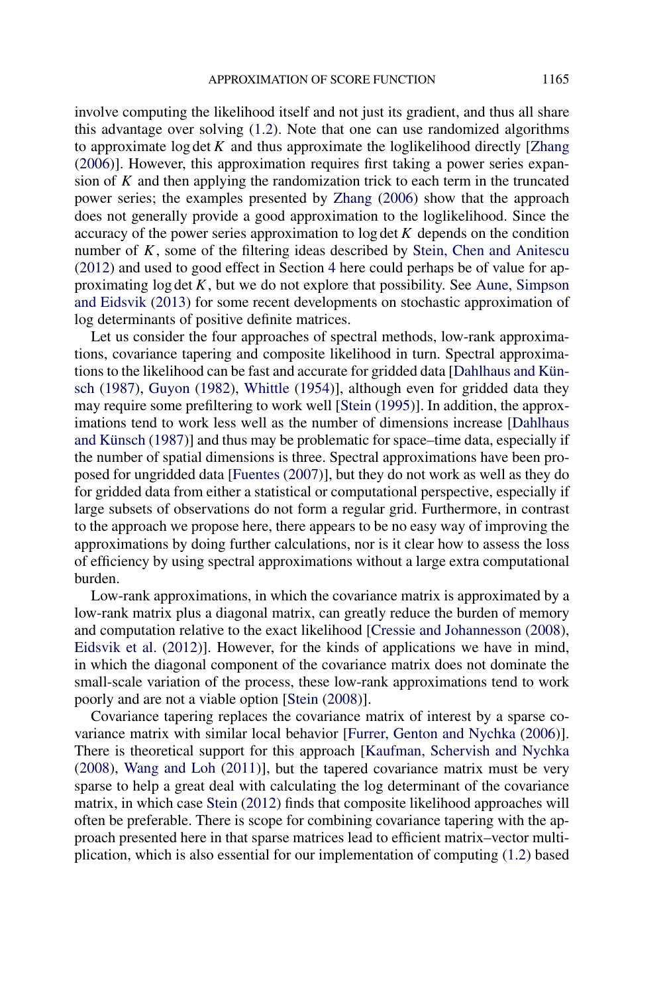involve computing the likelihood itself and not just its gradient, and thus all share this advantage over solving [\(1.2\)](#page-2-0). Note that one can use randomized algorithms to approximate log det*K* and thus approximate the loglikelihood directly [\[Zhang](#page-29-0) [\(2006\)](#page-29-0)]. However, this approximation requires first taking a power series expansion of *K* and then applying the randomization trick to each term in the truncated power series; the examples presented by [Zhang](#page-29-0) [\(2006\)](#page-29-0) show that the approach does not generally provide a good approximation to the loglikelihood. Since the accuracy of the power series approximation to log det*K* depends on the condition number of  $K$ , some of the filtering ideas described by [Stein, Chen and Anitescu](#page-29-0) [\(2012\)](#page-29-0) and used to good effect in Section [4](#page-10-0) here could perhaps be of value for approximating log det*K*, but we do not explore that possibility. See [Aune, Simpson](#page-28-0) [and Eidsvik](#page-28-0) [\(2013\)](#page-28-0) for some recent developments on stochastic approximation of log determinants of positive definite matrices.

Let us consider the four approaches of spectral methods, low-rank approximations, covariance tapering and composite likelihood in turn. Spectral approximations to the likelihood can be fast and accurate for gridded data [\[Dahlhaus and Kün](#page-28-0)[sch](#page-28-0) [\(1987\)](#page-28-0), [Guyon](#page-28-0) [\(1982\)](#page-28-0), [Whittle](#page-29-0) [\(1954\)](#page-29-0)], although even for gridded data they may require some prefiltering to work well [\[Stein](#page-29-0) [\(1995\)](#page-29-0)]. In addition, the approximations tend to work less well as the number of dimensions increase [\[Dahlhaus](#page-28-0) [and Künsch](#page-28-0) [\(1987\)](#page-28-0)] and thus may be problematic for space–time data, especially if the number of spatial dimensions is three. Spectral approximations have been proposed for ungridded data [\[Fuentes](#page-28-0) [\(2007\)](#page-28-0)], but they do not work as well as they do for gridded data from either a statistical or computational perspective, especially if large subsets of observations do not form a regular grid. Furthermore, in contrast to the approach we propose here, there appears to be no easy way of improving the approximations by doing further calculations, nor is it clear how to assess the loss of efficiency by using spectral approximations without a large extra computational burden.

Low-rank approximations, in which the covariance matrix is approximated by a low-rank matrix plus a diagonal matrix, can greatly reduce the burden of memory and computation relative to the exact likelihood [\[Cressie and Johannesson](#page-28-0) [\(2008\)](#page-28-0), [Eidsvik et al.](#page-28-0) [\(2012\)](#page-28-0)]. However, for the kinds of applications we have in mind, in which the diagonal component of the covariance matrix does not dominate the small-scale variation of the process, these low-rank approximations tend to work poorly and are not a viable option [\[Stein](#page-29-0) [\(2008\)](#page-29-0)].

Covariance tapering replaces the covariance matrix of interest by a sparse covariance matrix with similar local behavior [\[Furrer, Genton and Nychka](#page-28-0) [\(2006\)](#page-28-0)]. There is theoretical support for this approach [\[Kaufman, Schervish and Nychka](#page-29-0) [\(2008\)](#page-29-0), [Wang and Loh](#page-29-0) [\(2011\)](#page-29-0)], but the tapered covariance matrix must be very sparse to help a great deal with calculating the log determinant of the covariance matrix, in which case [Stein](#page-29-0) [\(2012\)](#page-29-0) finds that composite likelihood approaches will often be preferable. There is scope for combining covariance tapering with the approach presented here in that sparse matrices lead to efficient matrix–vector multiplication, which is also essential for our implementation of computing [\(1.2\)](#page-2-0) based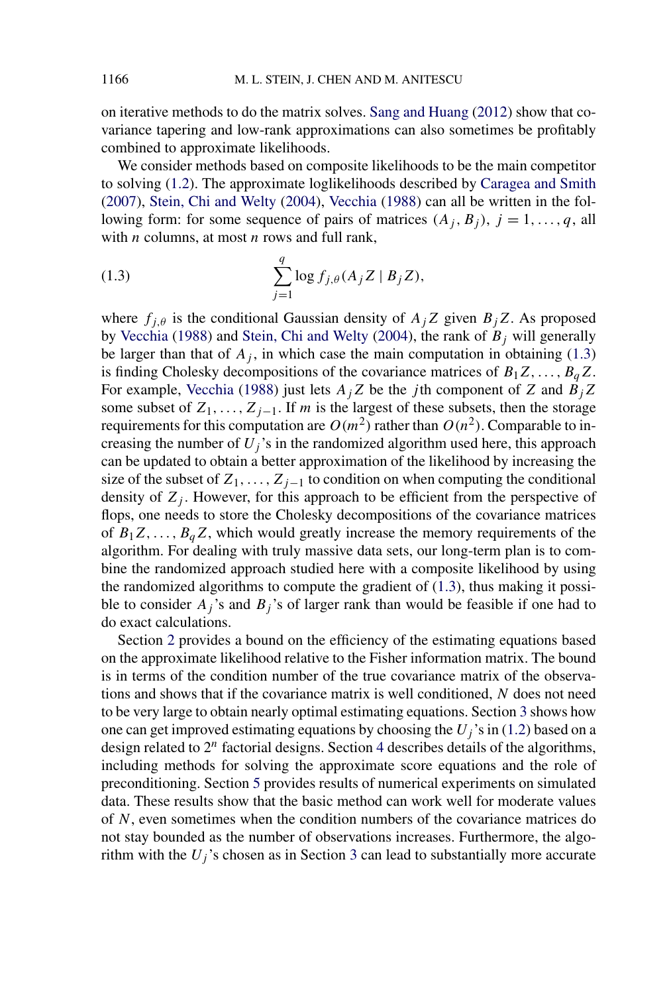on iterative methods to do the matrix solves. [Sang and Huang](#page-29-0) [\(2012\)](#page-29-0) show that covariance tapering and low-rank approximations can also sometimes be profitably combined to approximate likelihoods.

We consider methods based on composite likelihoods to be the main competitor to solving [\(1.2\)](#page-2-0). The approximate loglikelihoods described by [Caragea and Smith](#page-28-0) [\(2007\)](#page-28-0), [Stein, Chi and Welty](#page-29-0) [\(2004\)](#page-29-0), [Vecchia](#page-29-0) [\(1988\)](#page-29-0) can all be written in the following form: for some sequence of pairs of matrices  $(A_j, B_j)$ ,  $j = 1, \ldots, q$ , all with *n* columns, at most *n* rows and full rank,

(1.3) 
$$
\sum_{j=1}^q \log f_{j,\theta}(A_j Z \mid B_j Z),
$$

where  $f_{j,\theta}$  is the conditional Gaussian density of  $A_jZ$  given  $B_jZ$ . As proposed by [Vecchia](#page-29-0) [\(1988\)](#page-29-0) and [Stein, Chi and Welty](#page-29-0) [\(2004\)](#page-29-0), the rank of *Bj* will generally be larger than that of  $A_j$ , in which case the main computation in obtaining (1.3) is finding Cholesky decompositions of the covariance matrices of  $B_1Z, \ldots, B_qZ$ . For example, [Vecchia](#page-29-0) [\(1988\)](#page-29-0) just lets  $A_j Z$  be the *j* th component of *Z* and  $B_j Z$ some subset of  $Z_1, \ldots, Z_{i-1}$ . If *m* is the largest of these subsets, then the storage requirements for this computation are  $O(m^2)$  rather than  $O(n^2)$ . Comparable to increasing the number of  $U_j$ 's in the randomized algorithm used here, this approach can be updated to obtain a better approximation of the likelihood by increasing the size of the subset of  $Z_1, \ldots, Z_{j-1}$  to condition on when computing the conditional density of  $Z_j$ . However, for this approach to be efficient from the perspective of flops, one needs to store the Cholesky decompositions of the covariance matrices of  $B_1Z, \ldots, B_qZ$ , which would greatly increase the memory requirements of the algorithm. For dealing with truly massive data sets, our long-term plan is to combine the randomized approach studied here with a composite likelihood by using the randomized algorithms to compute the gradient of (1.3), thus making it possible to consider  $A_j$ 's and  $B_j$ 's of larger rank than would be feasible if one had to do exact calculations.

Section [2](#page-5-0) provides a bound on the efficiency of the estimating equations based on the approximate likelihood relative to the Fisher information matrix. The bound is in terms of the condition number of the true covariance matrix of the observations and shows that if the covariance matrix is well conditioned, *N* does not need to be very large to obtain nearly optimal estimating equations. Section [3](#page-8-0) shows how one can get improved estimating equations by choosing the  $U_j$ 's in [\(1.2\)](#page-2-0) based on a design related to 2*<sup>n</sup>* factorial designs. Section [4](#page-10-0) describes details of the algorithms, including methods for solving the approximate score equations and the role of preconditioning. Section [5](#page-15-0) provides results of numerical experiments on simulated data. These results show that the basic method can work well for moderate values of *N*, even sometimes when the condition numbers of the covariance matrices do not stay bounded as the number of observations increases. Furthermore, the algorithm with the  $U_j$ 's chosen as in Section [3](#page-8-0) can lead to substantially more accurate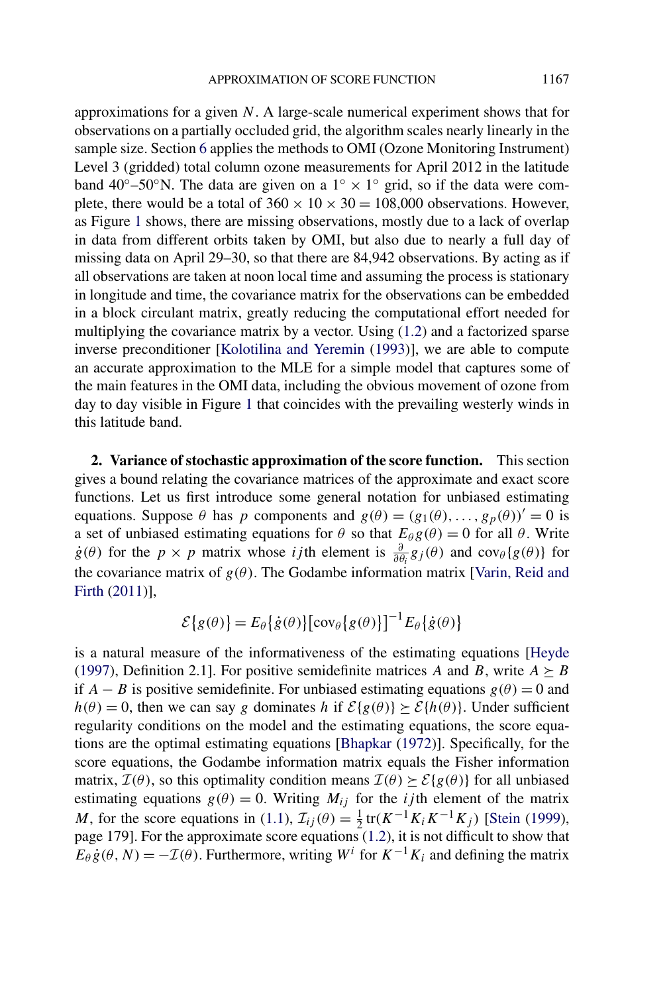<span id="page-5-0"></span>approximations for a given *N*. A large-scale numerical experiment shows that for observations on a partially occluded grid, the algorithm scales nearly linearly in the sample size. Section [6](#page-20-0) applies the methods to OMI (Ozone Monitoring Instrument) Level 3 (gridded) total column ozone measurements for April 2012 in the latitude band 40<sup>°</sup>–50°N. The data are given on a  $1° \times 1°$  grid, so if the data were complete, there would be a total of  $360 \times 10 \times 30 = 108,000$  observations. However, as Figure [1](#page-6-0) shows, there are missing observations, mostly due to a lack of overlap in data from different orbits taken by OMI, but also due to nearly a full day of missing data on April 29–30, so that there are 84,942 observations. By acting as if all observations are taken at noon local time and assuming the process is stationary in longitude and time, the covariance matrix for the observations can be embedded in a block circulant matrix, greatly reducing the computational effort needed for multiplying the covariance matrix by a vector. Using [\(1.2\)](#page-2-0) and a factorized sparse inverse preconditioner [\[Kolotilina and Yeremin](#page-29-0) [\(1993\)](#page-29-0)], we are able to compute an accurate approximation to the MLE for a simple model that captures some of the main features in the OMI data, including the obvious movement of ozone from day to day visible in Figure [1](#page-6-0) that coincides with the prevailing westerly winds in this latitude band.

**2. Variance of stochastic approximation of the score function.** This section gives a bound relating the covariance matrices of the approximate and exact score functions. Let us first introduce some general notation for unbiased estimating equations. Suppose  $\theta$  has *p* components and  $g(\theta) = (g_1(\theta), \dots, g_p(\theta))' = 0$  is a set of unbiased estimating equations for  $\theta$  so that  $E_{\theta}g(\theta) = 0$  for all  $\theta$ . Write  $\dot{g}(\theta)$  for the *p* × *p* matrix whose *ij*th element is  $\frac{\partial}{\partial \theta_i} g_j(\theta)$  and cov $\theta_i g(\theta)$  for the covariance matrix of  $g(\theta)$ . The Godambe information matrix [\[Varin, Reid and](#page-29-0) [Firth](#page-29-0) [\(2011\)](#page-29-0)],

$$
\mathcal{E}\{g(\theta)\} = E_{\theta}\{\dot{g}(\theta)\}[\text{cov}_{\theta}\{g(\theta)\}]^{-1}E_{\theta}\{\dot{g}(\theta)\}
$$

is a natural measure of the informativeness of the estimating equations [\[Heyde](#page-28-0) [\(1997\)](#page-28-0), Definition 2.1]. For positive semidefinite matrices *A* and *B*, write  $A \succeq B$ if *A* − *B* is positive semidefinite. For unbiased estimating equations  $g(\theta) = 0$  and  $h(\theta) = 0$ , then we can say *g* dominates *h* if  $\mathcal{E}{g(\theta)} \ge \mathcal{E}{h(\theta)}$ . Under sufficient regularity conditions on the model and the estimating equations, the score equations are the optimal estimating equations [\[Bhapkar](#page-28-0) [\(1972\)](#page-28-0)]. Specifically, for the score equations, the Godambe information matrix equals the Fisher information matrix,  $\mathcal{I}(\theta)$ , so this optimality condition means  $\mathcal{I}(\theta) \succeq \mathcal{E}{g(\theta)}$  for all unbiased estimating equations  $g(\theta) = 0$ . Writing  $M_{ij}$  for the *ij* th element of the matrix *M*, for the score equations in [\(1.1\)](#page-1-0),  $\mathcal{I}_{ij}(\theta) = \frac{1}{2} \text{tr}(K^{-1}K_iK^{-1}K_j)$  [\[Stein](#page-29-0) [\(1999\)](#page-29-0), page 179]. For the approximate score equations  $(1.2)$ , it is not difficult to show that  $E_{\theta} \dot{g}(\theta, N) = -\mathcal{I}(\theta)$ . Furthermore, writing *W<sup>i</sup>* for  $K^{-1}K_i$  and defining the matrix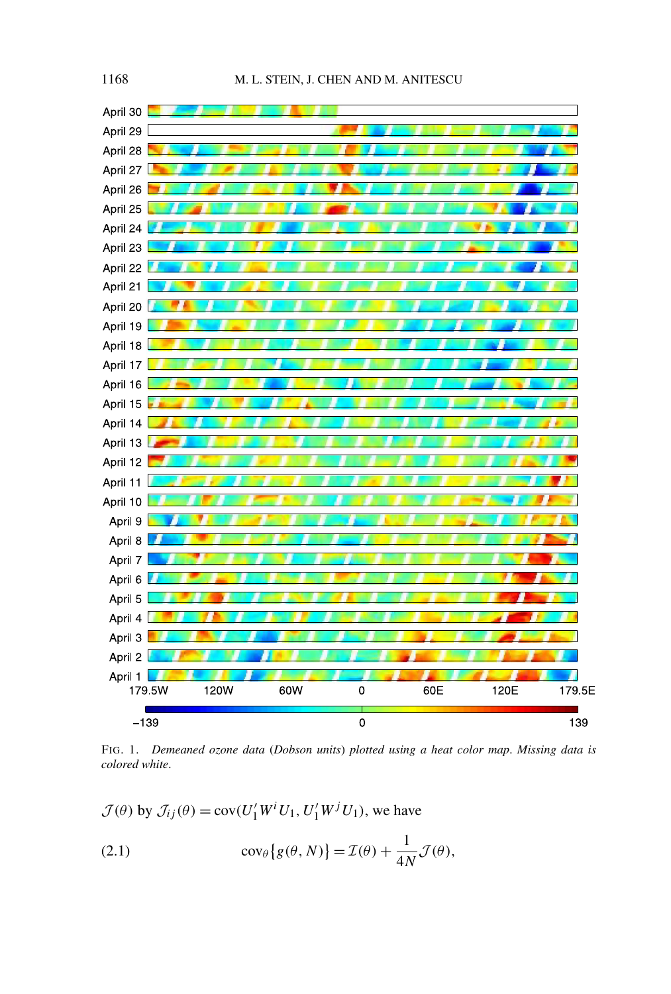<span id="page-6-0"></span>

FIG. 1. *Demeaned ozone data* (*Dobson units*) *plotted using a heat color map*. *Missing data is colored white*.

 $\mathcal{J}(\theta)$  by  $\mathcal{J}_{ij}(\theta) = \text{cov}(U'_1 W^i U_1, U'_1 W^j U_1)$ , we have

(2.1) 
$$
\text{cov}_{\theta}\big\{g(\theta, N)\big\} = \mathcal{I}(\theta) + \frac{1}{4N}\mathcal{J}(\theta),
$$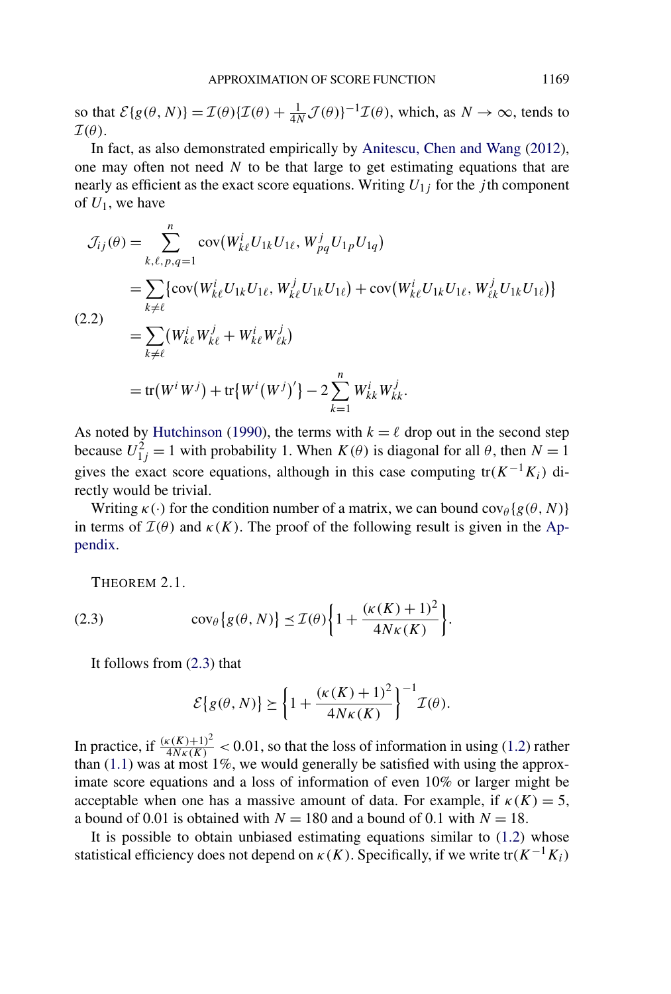<span id="page-7-0"></span>so that  $\mathcal{E}{g(\theta, N)} = \mathcal{I}(\theta)\{\mathcal{I}(\theta) + \frac{1}{4N}\mathcal{J}(\theta)\}^{-1}\mathcal{I}(\theta)$ , which, as  $N \to \infty$ , tends to  $\mathcal{I}(\theta)$ .

In fact, as also demonstrated empirically by [Anitescu, Chen and Wang](#page-28-0) [\(2012\)](#page-28-0), one may often not need *N* to be that large to get estimating equations that are nearly as efficient as the exact score equations. Writing *U*1*<sup>j</sup>* for the *j* th component of  $U_1$ , we have

$$
\mathcal{J}_{ij}(\theta) = \sum_{k,\ell,p,q=1}^{n} \text{cov}(W_{k\ell}^{i} U_{1k} U_{1\ell}, W_{pq}^{j} U_{1p} U_{1q})
$$
\n
$$
= \sum_{k \neq \ell} \{ \text{cov}(W_{k\ell}^{i} U_{1k} U_{1\ell}, W_{k\ell}^{j} U_{1k} U_{1\ell}) + \text{cov}(W_{k\ell}^{i} U_{1k} U_{1\ell}, W_{\ell k}^{j} U_{1k} U_{1\ell}) \}
$$
\n(2.2)\n
$$
= \sum_{k \neq \ell} (W_{k\ell}^{i} W_{k\ell}^{j} + W_{k\ell}^{i} W_{\ell k}^{j})
$$
\n
$$
= \text{tr}(W^{i} W^{j}) + \text{tr}\{W^{i}(W^{j})'\} - 2 \sum_{k=1}^{n} W_{kk}^{i} W_{kk}^{j}.
$$

As noted by [Hutchinson](#page-29-0) [\(1990\)](#page-29-0), the terms with  $k = \ell$  drop out in the second step because  $U_{1j}^2 = 1$  with probability 1. When  $K(\theta)$  is diagonal for all  $\theta$ , then  $N = 1$ gives the exact score equations, although in this case computing  $tr(K^{-1}K_i)$  directly would be trivial.

Writing  $\kappa(\cdot)$  for the condition number of a matrix, we can bound  $\cos\theta$  {*g*( $\theta$ , *N*)} in terms of  $\mathcal{I}(\theta)$  and  $\kappa(K)$ . The proof of the following result is given in the [Ap](#page-26-0)[pendix.](#page-26-0)

THEOREM 2.1.

(2.3) 
$$
\text{cov}_{\theta}\big\{g(\theta, N)\big\} \preceq \mathcal{I}(\theta)\bigg\{1 + \frac{(\kappa(K) + 1)^2}{4N\kappa(K)}\bigg\}.
$$

It follows from (2.3) that

$$
\mathcal{E}\{g(\theta, N)\} \succeq \left\{1 + \frac{(\kappa(K) + 1)^2}{4N\kappa(K)}\right\}^{-1} \mathcal{I}(\theta).
$$

In practice, if  $\frac{(k(K)+1)^2}{4Nk(K)}$  < 0.01, so that the loss of information in using [\(1.2\)](#page-2-0) rather than  $(1.1)$  was at most 1%, we would generally be satisfied with using the approximate score equations and a loss of information of even 10% or larger might be acceptable when one has a massive amount of data. For example, if  $\kappa(K) = 5$ , a bound of 0.01 is obtained with  $N = 180$  and a bound of 0.1 with  $N = 18$ .

It is possible to obtain unbiased estimating equations similar to [\(1.2\)](#page-2-0) whose statistical efficiency does not depend on  $\kappa(K)$ . Specifically, if we write tr $(K^{-1}K_i)$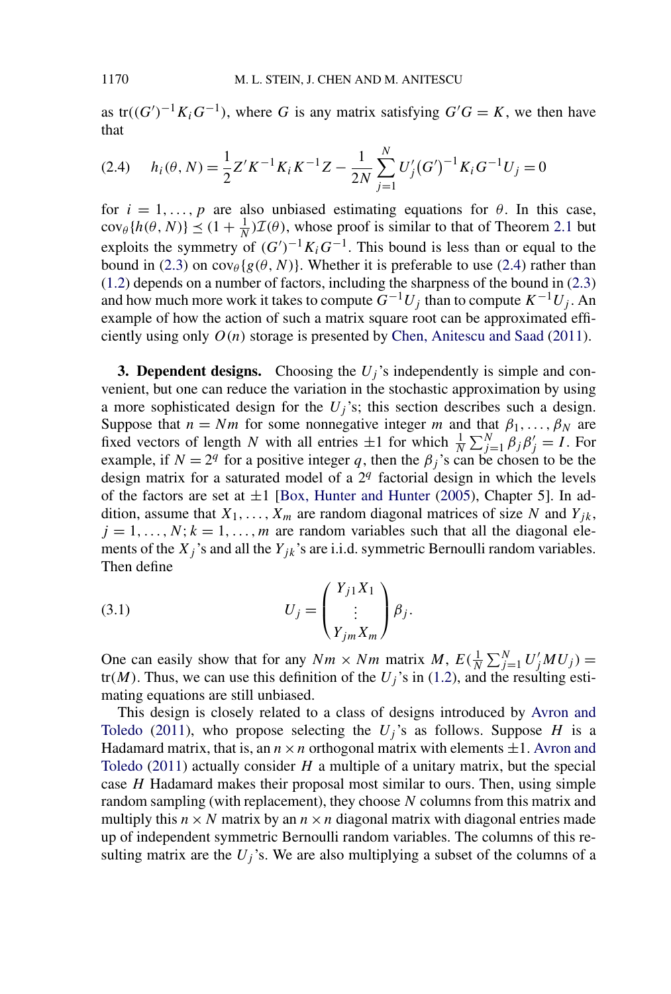<span id="page-8-0"></span>as  $tr((G')^{-1}K_iG^{-1})$ , where *G* is any matrix satisfying  $G'G = K$ , we then have that

$$
(2.4) \qquad h_i(\theta, N) = \frac{1}{2} Z' K^{-1} K_i K^{-1} Z - \frac{1}{2N} \sum_{j=1}^N U'_j (G')^{-1} K_i G^{-1} U_j = 0
$$

for  $i = 1, \ldots, p$  are also unbiased estimating equations for  $\theta$ . In this case,  $\text{cov}_{\theta}\{h(\theta, N)\}\leq (1 + \frac{1}{N})\mathcal{I}(\theta)$ , whose proof is similar to that of Theorem [2.1](#page-7-0) but exploits the symmetry of  $(G')^{-1}K_iG^{-1}$ . This bound is less than or equal to the bound in [\(2.3\)](#page-7-0) on  $cov_{\theta} \{g(\theta, N)\}\$ . Whether it is preferable to use (2.4) rather than [\(1.2\)](#page-2-0) depends on a number of factors, including the sharpness of the bound in [\(2.3\)](#page-7-0) and how much more work it takes to compute  $\overline{G}^{-1}U_j$  than to compute  $K^{-1}U_j$ . An example of how the action of such a matrix square root can be approximated efficiently using only  $O(n)$  storage is presented by [Chen, Anitescu and Saad](#page-28-0) [\(2011\)](#page-28-0).

**3. Dependent designs.** Choosing the  $U_j$ 's independently is simple and convenient, but one can reduce the variation in the stochastic approximation by using a more sophisticated design for the *Uj* 's; this section describes such a design. Suppose that  $n = Nm$  for some nonnegative integer *m* and that  $\beta_1, \ldots, \beta_N$  are fixed vectors of length *N* with all entries  $\pm 1$  for which  $\frac{1}{N} \sum_{j=1}^{N} \beta_j \beta'_j = I$ . For example, if  $N = 2<sup>q</sup>$  for a positive integer *q*, then the *β<sub>j</sub>*'s can be chosen to be the design matrix for a saturated model of a 2*<sup>q</sup>* factorial design in which the levels of the factors are set at  $\pm 1$  [\[Box, Hunter and Hunter](#page-28-0) [\(2005\)](#page-28-0), Chapter 5]. In addition, assume that  $X_1, \ldots, X_m$  are random diagonal matrices of size N and  $Y_{jk}$ ,  $j = 1, \ldots, N; k = 1, \ldots, m$  are random variables such that all the diagonal elements of the  $X_j$ 's and all the  $Y_{jk}$ 's are i.i.d. symmetric Bernoulli random variables. Then define

(3.1) 
$$
U_j = \begin{pmatrix} Y_{j1}X_1 \\ \vdots \\ Y_{jm}X_m \end{pmatrix} \beta_j.
$$

One can easily show that for any  $Nm \times Nm$  matrix *M*,  $E(\frac{1}{N}\sum_{j=1}^{N}U'_jMU_j)$  = tr(M). Thus, we can use this definition of the  $U_j$ 's in [\(1.2\)](#page-2-0), and the resulting estimating equations are still unbiased.

This design is closely related to a class of designs introduced by [Avron and](#page-28-0) [Toledo](#page-28-0) [\(2011\)](#page-28-0), who propose selecting the  $U_j$ 's as follows. Suppose *H* is a Hadamard matrix, that is, an  $n \times n$  orthogonal matrix with elements  $\pm 1$ . [Avron and](#page-28-0) [Toledo](#page-28-0) [\(2011\)](#page-28-0) actually consider *H* a multiple of a unitary matrix, but the special case *H* Hadamard makes their proposal most similar to ours. Then, using simple random sampling (with replacement), they choose *N* columns from this matrix and multiply this  $n \times N$  matrix by an  $n \times n$  diagonal matrix with diagonal entries made up of independent symmetric Bernoulli random variables. The columns of this resulting matrix are the  $U_j$ 's. We are also multiplying a subset of the columns of a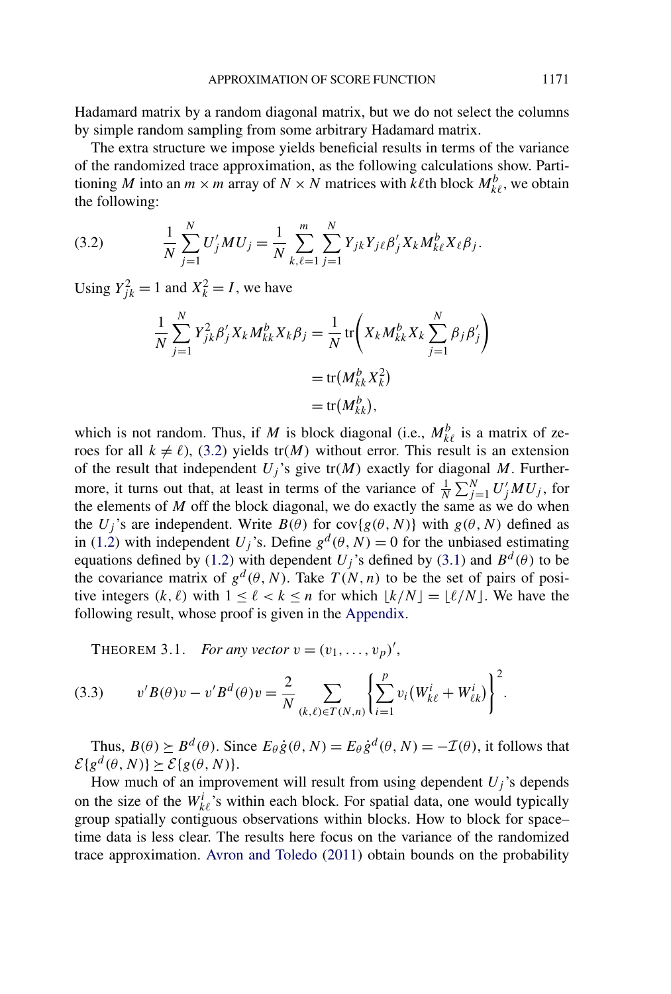<span id="page-9-0"></span>Hadamard matrix by a random diagonal matrix, but we do not select the columns by simple random sampling from some arbitrary Hadamard matrix.

The extra structure we impose yields beneficial results in terms of the variance of the randomized trace approximation, as the following calculations show. Partitioning *M* into an  $m \times m$  array of  $N \times N$  matrices with  $k\ell$ th block  $M_{k\ell}^b$ , we obtain the following:

(3.2) 
$$
\frac{1}{N} \sum_{j=1}^{N} U'_j MU_j = \frac{1}{N} \sum_{k,\ell=1}^{m} \sum_{j=1}^{N} Y_{jk} Y_{j\ell} \beta'_j X_k M_{k\ell}^b X_{\ell} \beta_j.
$$

Using  $Y_{jk}^2 = 1$  and  $X_k^2 = I$ , we have

$$
\frac{1}{N} \sum_{j=1}^{N} Y_{jk}^2 \beta'_j X_k M_{kk}^b X_k \beta_j = \frac{1}{N} \operatorname{tr} \left( X_k M_{kk}^b X_k \sum_{j=1}^{N} \beta_j \beta'_j \right)
$$

$$
= \operatorname{tr} (M_{kk}^b X_k^2)
$$

$$
= \operatorname{tr} (M_{kk}^b),
$$

which is not random. Thus, if *M* is block diagonal (i.e.,  $M_{k\ell}^b$  is a matrix of zeroes for all  $k \neq \ell$ ), (3.2) yields tr(M) without error. This result is an extension of the result that independent  $U_j$ 's give  $tr(M)$  exactly for diagonal M. Furthermore, it turns out that, at least in terms of the variance of  $\frac{1}{N} \sum_{j=1}^{N} U_j^{\prime} MU_j$ , for the elements of *M* off the block diagonal, we do exactly the same as we do when the *U<sub>j</sub>*'s are independent. Write  $B(\theta)$  for cov{ $g(\theta, N)$ } with  $g(\theta, N)$  defined as in [\(1.2\)](#page-2-0) with independent *U<sub>j</sub>*'s. Define  $g^d$  ( $\theta$ , *N*) = 0 for the unbiased estimating equations defined by [\(1.2\)](#page-2-0) with dependent  $U_j$ 's defined by [\(3.1\)](#page-8-0) and  $B^d(\theta)$  to be the covariance matrix of  $g^d$  ( $\theta$ ,  $N$ ). Take  $T(N, n)$  to be the set of pairs of positive integers  $(k, \ell)$  with  $1 \leq \ell < k \leq n$  for which  $\lfloor k/N \rfloor = \lfloor \ell/N \rfloor$ . We have the following result, whose proof is given in the [Appendix.](#page-26-0)

THEOREM 3.1. *For any vector*  $v = (v_1, \ldots, v_p)'$ ,

(3.3) 
$$
v'B(\theta)v - v'B^d(\theta)v = \frac{2}{N} \sum_{(k,\ell) \in T(N,n)} \left\{ \sum_{i=1}^p v_i (W_{k\ell}^i + W_{\ell k}^i) \right\}^2.
$$

Thus,  $B(\theta) \succeq B^d(\theta)$ . Since  $E_\theta \dot{g}(\theta, N) = E_\theta \dot{g}^d(\theta, N) = -\mathcal{I}(\theta)$ , it follows that  $\mathcal{E}{g^d(\theta, N)} \succeq \mathcal{E}{g(\theta, N)}.$ 

How much of an improvement will result from using dependent  $U_j$ 's depends on the size of the  $W_{k\ell}^i$ 's within each block. For spatial data, one would typically group spatially contiguous observations within blocks. How to block for space– time data is less clear. The results here focus on the variance of the randomized trace approximation. [Avron and Toledo](#page-28-0) [\(2011\)](#page-28-0) obtain bounds on the probability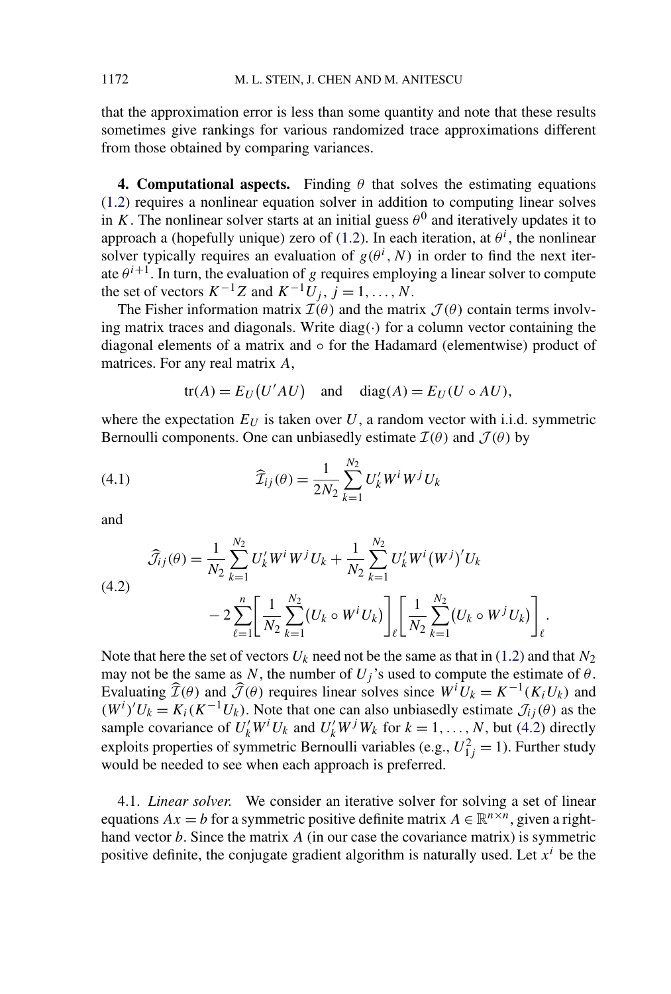<span id="page-10-0"></span>that the approximation error is less than some quantity and note that these results sometimes give rankings for various randomized trace approximations different from those obtained by comparing variances.

**4. Computational aspects.** Finding  $\theta$  that solves the estimating equations [\(1.2\)](#page-2-0) requires a nonlinear equation solver in addition to computing linear solves in *K*. The nonlinear solver starts at an initial guess  $\theta^0$  and iteratively updates it to approach a (hopefully unique) zero of [\(1.2\)](#page-2-0). In each iteration, at  $\theta^i$ , the nonlinear solver typically requires an evaluation of  $g(\theta^i, N)$  in order to find the next iterate  $\theta^{i+1}$ . In turn, the evaluation of *g* requires employing a linear solver to compute the set of vectors  $K^{-1}Z$  and  $K^{-1}U_j$ ,  $j = 1, \ldots, N$ .

The Fisher information matrix  $\mathcal{I}(\theta)$  and the matrix  $\mathcal{J}(\theta)$  contain terms involving matrix traces and diagonals. Write  $diag(\cdot)$  for a column vector containing the diagonal elements of a matrix and ◦ for the Hadamard (elementwise) product of matrices. For any real matrix *A*,

$$
tr(A) = E_U(U'AU) \quad \text{and} \quad diag(A) = E_U(U \circ AU),
$$

where the expectation  $E_U$  is taken over  $U$ , a random vector with i.i.d. symmetric Bernoulli components. One can unbiasedly estimate  $\mathcal{I}(\theta)$  and  $\mathcal{J}(\theta)$  by

(4.1) 
$$
\widehat{\mathcal{I}}_{ij}(\theta) = \frac{1}{2N_2} \sum_{k=1}^{N_2} U'_k W^i W^j U_k
$$

and

$$
\widehat{\mathcal{J}}_{ij}(\theta) = \frac{1}{N_2} \sum_{k=1}^{N_2} U'_k W^i W^j U_k + \frac{1}{N_2} \sum_{k=1}^{N_2} U'_k W^i (W^j)' U_k
$$
\n
$$
- 2 \sum_{\ell=1}^n \left[ \frac{1}{N_2} \sum_{k=1}^{N_2} (U_k \circ W^i U_k) \right] \left[ \frac{1}{N_2} \sum_{k=1}^{N_2} (U_k \circ W^j U_k) \right]_{\ell}.
$$

Note that here the set of vectors  $U_k$  need not be the same as that in [\(1.2\)](#page-2-0) and that  $N_2$ may not be the same as *N*, the number of  $U_j$ 's used to compute the estimate of  $\theta$ . Evaluating  $\widehat{\mathcal{I}}(\theta)$  and  $\widehat{\mathcal{J}}(\theta)$  requires linear solves since  $W^i U_k = K^{-1}(K_i U_k)$  and  $(W^i)'U_k = K_i(K^{-1}U_k)$ . Note that one can also unbiasedly estimate  $\mathcal{J}_{ij}(\theta)$  as the sample covariance of  $U'_k W^i U_k$  and  $U'_k W^j W_k$  for  $k = 1, ..., N$ , but (4.2) directly exploits properties of symmetric Bernoulli variables (e.g.,  $U_{1j}^2 = 1$ ). Further study would be needed to see when each approach is preferred.

4.1. *Linear solver*. We consider an iterative solver for solving a set of linear equations  $Ax = b$  for a symmetric positive definite matrix  $A \in \mathbb{R}^{n \times n}$ , given a righthand vector *b*. Since the matrix *A* (in our case the covariance matrix) is symmetric positive definite, the conjugate gradient algorithm is naturally used. Let  $x^i$  be the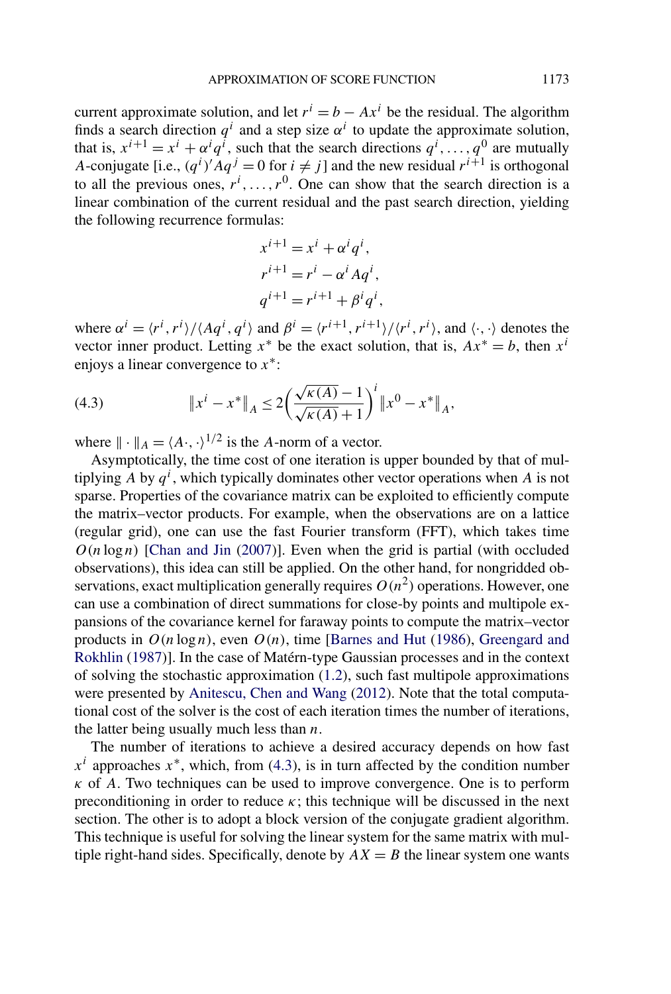<span id="page-11-0"></span>current approximate solution, and let  $r^i = b - Ax^i$  be the residual. The algorithm finds a search direction  $q^i$  and a step size  $\alpha^i$  to update the approximate solution, that is,  $x^{i+1} = x^i + \alpha^i q^{\overline{i}}$ , such that the search directions  $q^i, \ldots, q^0$  are mutually *A*-conjugate [i.e.,  $(q^i)' A q^j = 0$  for  $i \neq j$ ] and the new residual  $r^{i+1}$  is orthogonal to all the previous ones,  $r^i, \ldots, r^0$ . One can show that the search direction is a linear combination of the current residual and the past search direction, yielding the following recurrence formulas:

$$
x^{i+1} = x^i + \alpha^i q^i,
$$
  
\n
$$
r^{i+1} = r^i - \alpha^i A q^i,
$$
  
\n
$$
q^{i+1} = r^{i+1} + \beta^i q^i,
$$

where  $\alpha^i = \langle r^i, r^i \rangle / \langle Aq^i, q^i \rangle$  and  $\beta^i = \langle r^{i+1}, r^{i+1} \rangle / \langle r^i, r^i \rangle$ , and  $\langle \cdot, \cdot \rangle$  denotes the vector inner product. Letting  $x^*$  be the exact solution, that is,  $Ax^* = b$ , then  $x^i$ enjoys a linear convergence to *x*∗:

(4.3) 
$$
\|x^{i}-x^{*}\|_{A} \leq 2\left(\frac{\sqrt{\kappa(A)}-1}{\sqrt{\kappa(A)}+1}\right)^{i} \|x^{0}-x^{*}\|_{A},
$$

where  $\|\cdot\|_A = \langle A \cdot, \cdot \rangle^{1/2}$  is the *A*-norm of a vector.

Asymptotically, the time cost of one iteration is upper bounded by that of multiplying  $\overline{A}$  by  $q^i$ , which typically dominates other vector operations when  $\overline{A}$  is not sparse. Properties of the covariance matrix can be exploited to efficiently compute the matrix–vector products. For example, when the observations are on a lattice (regular grid), one can use the fast Fourier transform (FFT), which takes time  $O(n \log n)$  [\[Chan and Jin](#page-28-0) [\(2007\)](#page-28-0)]. Even when the grid is partial (with occluded observations), this idea can still be applied. On the other hand, for nongridded observations, exact multiplication generally requires  $O(n^2)$  operations. However, one can use a combination of direct summations for close-by points and multipole expansions of the covariance kernel for faraway points to compute the matrix–vector products in  $O(n \log n)$ , even  $O(n)$ , time [\[Barnes and Hut](#page-28-0) [\(1986\)](#page-28-0), [Greengard and](#page-28-0) [Rokhlin](#page-28-0) [\(1987\)](#page-28-0)]. In the case of Matérn-type Gaussian processes and in the context of solving the stochastic approximation [\(1.2\)](#page-2-0), such fast multipole approximations were presented by [Anitescu, Chen and Wang](#page-28-0) [\(2012\)](#page-28-0). Note that the total computational cost of the solver is the cost of each iteration times the number of iterations, the latter being usually much less than *n*.

The number of iterations to achieve a desired accuracy depends on how fast  $x^i$  approaches  $x^*$ , which, from (4.3), is in turn affected by the condition number *κ* of *A*. Two techniques can be used to improve convergence. One is to perform preconditioning in order to reduce  $\kappa$ ; this technique will be discussed in the next section. The other is to adopt a block version of the conjugate gradient algorithm. This technique is useful for solving the linear system for the same matrix with multiple right-hand sides. Specifically, denote by  $AX = B$  the linear system one wants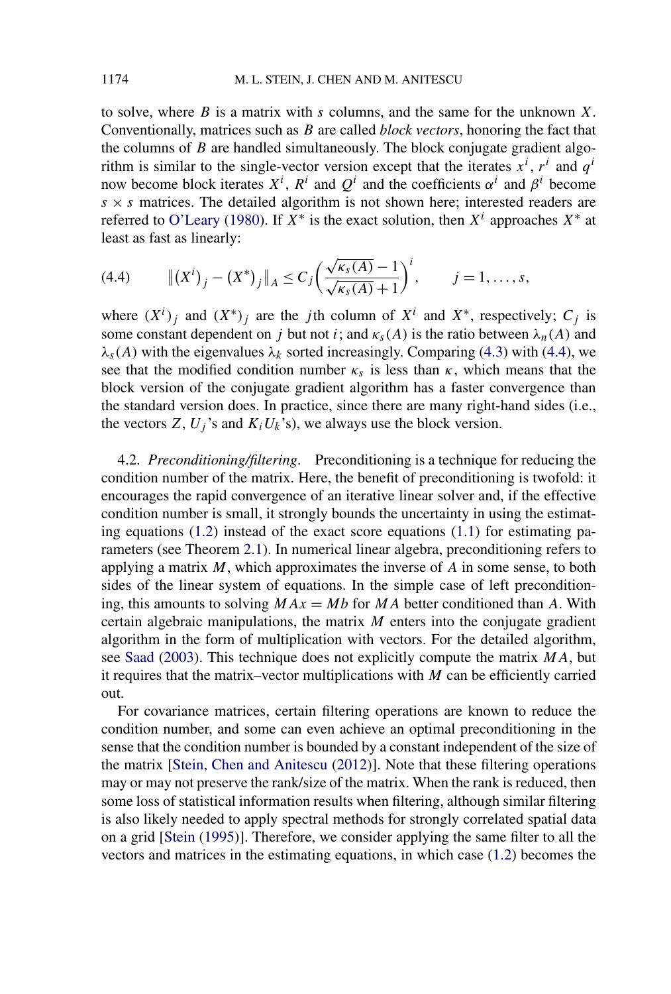to solve, where *B* is a matrix with *s* columns, and the same for the unknown *X*. Conventionally, matrices such as *B* are called *block vectors*, honoring the fact that the columns of *B* are handled simultaneously. The block conjugate gradient algorithm is similar to the single-vector version except that the iterates  $x^i$ ,  $r^i$  and  $q^i$ now become block iterates  $X^i$ ,  $R^i$  and  $Q^i$  and the coefficients  $\alpha^i$  and  $\beta^i$  become  $s \times s$  matrices. The detailed algorithm is not shown here; interested readers are referred to [O'Leary](#page-29-0) [\(1980\)](#page-29-0). If  $X^*$  is the exact solution, then  $X^i$  approaches  $X^*$  at least as fast as linearly:

(4.4) 
$$
\|(X^{i})_{j} - (X^{*})_{j}\|_{A} \leq C_{j} \left(\frac{\sqrt{\kappa_{s}(A)}-1}{\sqrt{\kappa_{s}(A)}+1}\right)^{i}, \qquad j = 1, ..., s,
$$

where  $(X^i)_j$  and  $(X^*)_j$  are the *j*th column of  $X^i$  and  $X^*$ , respectively;  $C_j$  is some constant dependent on *j* but not *i*; and  $\kappa_s(A)$  is the ratio between  $\lambda_n(A)$  and  $\lambda_s(A)$  with the eigenvalues  $\lambda_k$  sorted increasingly. Comparing [\(4.3\)](#page-11-0) with (4.4), we see that the modified condition number  $\kappa_s$  is less than  $\kappa$ , which means that the block version of the conjugate gradient algorithm has a faster convergence than the standard version does. In practice, since there are many right-hand sides (i.e., the vectors *Z*,  $U_j$ 's and  $K_i U_k$ 's), we always use the block version.

4.2. *Preconditioning/filtering*. Preconditioning is a technique for reducing the condition number of the matrix. Here, the benefit of preconditioning is twofold: it encourages the rapid convergence of an iterative linear solver and, if the effective condition number is small, it strongly bounds the uncertainty in using the estimating equations  $(1.2)$  instead of the exact score equations  $(1.1)$  for estimating parameters (see Theorem [2.1\)](#page-7-0). In numerical linear algebra, preconditioning refers to applying a matrix *M*, which approximates the inverse of *A* in some sense, to both sides of the linear system of equations. In the simple case of left preconditioning, this amounts to solving  $MAX = Mb$  for  $MA$  better conditioned than A. With certain algebraic manipulations, the matrix *M* enters into the conjugate gradient algorithm in the form of multiplication with vectors. For the detailed algorithm, see [Saad](#page-29-0) [\(2003\)](#page-29-0). This technique does not explicitly compute the matrix *MA*, but it requires that the matrix–vector multiplications with *M* can be efficiently carried out.

For covariance matrices, certain filtering operations are known to reduce the condition number, and some can even achieve an optimal preconditioning in the sense that the condition number is bounded by a constant independent of the size of the matrix [\[Stein, Chen and Anitescu](#page-29-0) [\(2012\)](#page-29-0)]. Note that these filtering operations may or may not preserve the rank/size of the matrix. When the rank is reduced, then some loss of statistical information results when filtering, although similar filtering is also likely needed to apply spectral methods for strongly correlated spatial data on a grid [\[Stein](#page-29-0) [\(1995\)](#page-29-0)]. Therefore, we consider applying the same filter to all the vectors and matrices in the estimating equations, in which case [\(1.2\)](#page-2-0) becomes the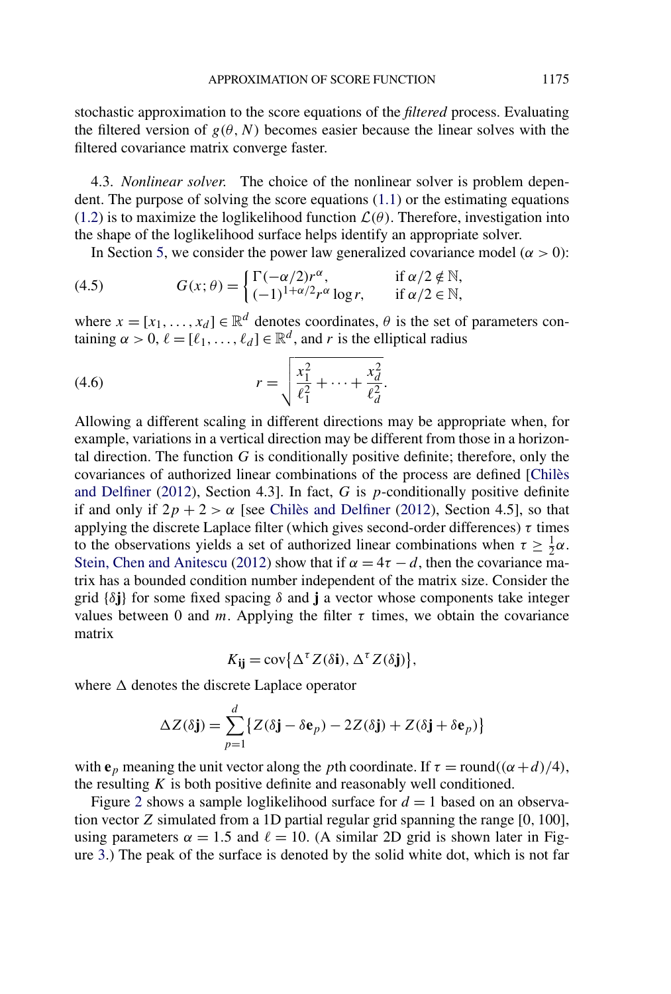<span id="page-13-0"></span>stochastic approximation to the score equations of the *filtered* process. Evaluating the filtered version of  $g(\theta, N)$  becomes easier because the linear solves with the filtered covariance matrix converge faster.

4.3. *Nonlinear solver*. The choice of the nonlinear solver is problem dependent. The purpose of solving the score equations [\(1.1\)](#page-1-0) or the estimating equations [\(1.2\)](#page-2-0) is to maximize the loglikelihood function  $\mathcal{L}(\theta)$ . Therefore, investigation into the shape of the loglikelihood surface helps identify an appropriate solver.

In Section [5,](#page-15-0) we consider the power law generalized covariance model  $(\alpha > 0)$ :

(4.5) 
$$
G(x; \theta) = \begin{cases} \Gamma(-\alpha/2)r^{\alpha}, & \text{if } \alpha/2 \notin \mathbb{N}, \\ (-1)^{1+\alpha/2}r^{\alpha} \log r, & \text{if } \alpha/2 \in \mathbb{N}, \end{cases}
$$

where  $x = [x_1, \ldots, x_d] \in \mathbb{R}^d$  denotes coordinates,  $\theta$  is the set of parameters containing  $\alpha > 0$ ,  $\ell = [\ell_1, \ldots, \ell_d] \in \mathbb{R}^d$ , and *r* is the elliptical radius

(4.6) 
$$
r = \sqrt{\frac{x_1^2}{\ell_1^2} + \dots + \frac{x_d^2}{\ell_d^2}}.
$$

Allowing a different scaling in different directions may be appropriate when, for example, variations in a vertical direction may be different from those in a horizontal direction. The function *G* is conditionally positive definite; therefore, only the covariances of authorized linear combinations of the process are defined [\[Chilès](#page-28-0) [and Delfiner](#page-28-0) [\(2012\)](#page-28-0), Section 4.3]. In fact, *G* is *p*-conditionally positive definite if and only if  $2p + 2 > \alpha$  [see [Chilès and Delfiner](#page-28-0) [\(2012\)](#page-28-0), Section 4.5], so that applying the discrete Laplace filter (which gives second-order differences) *τ* times to the observations yields a set of authorized linear combinations when  $\tau \geq \frac{1}{2}\alpha$ . [Stein, Chen and Anitescu](#page-29-0) [\(2012\)](#page-29-0) show that if  $\alpha = 4\tau - d$ , then the covariance matrix has a bounded condition number independent of the matrix size. Consider the grid  $\{\delta\}$ **}** for some fixed spacing  $\delta$  and **j** a vector whose components take integer values between 0 and *m*. Applying the filter  $\tau$  times, we obtain the covariance matrix

$$
K_{ij} = cov\{\Delta^{\tau} Z(\delta i), \Delta^{\tau} Z(\delta j)\},\
$$

where  $\Delta$  denotes the discrete Laplace operator

$$
\Delta Z(\delta \mathbf{j}) = \sum_{p=1}^{d} \{ Z(\delta \mathbf{j} - \delta \mathbf{e}_p) - 2Z(\delta \mathbf{j}) + Z(\delta \mathbf{j} + \delta \mathbf{e}_p) \}
$$

with **e**<sub>*p*</sub> meaning the unit vector along the *p*th coordinate. If  $\tau = \text{round}((\alpha + d)/4)$ , the resulting *K* is both positive definite and reasonably well conditioned.

Figure [2](#page-14-0) shows a sample loglikelihood surface for  $d = 1$  based on an observation vector *Z* simulated from a 1D partial regular grid spanning the range [0*,* 100], using parameters  $\alpha = 1.5$  and  $\ell = 10$ . (A similar 2D grid is shown later in Figure [3.](#page-16-0)) The peak of the surface is denoted by the solid white dot, which is not far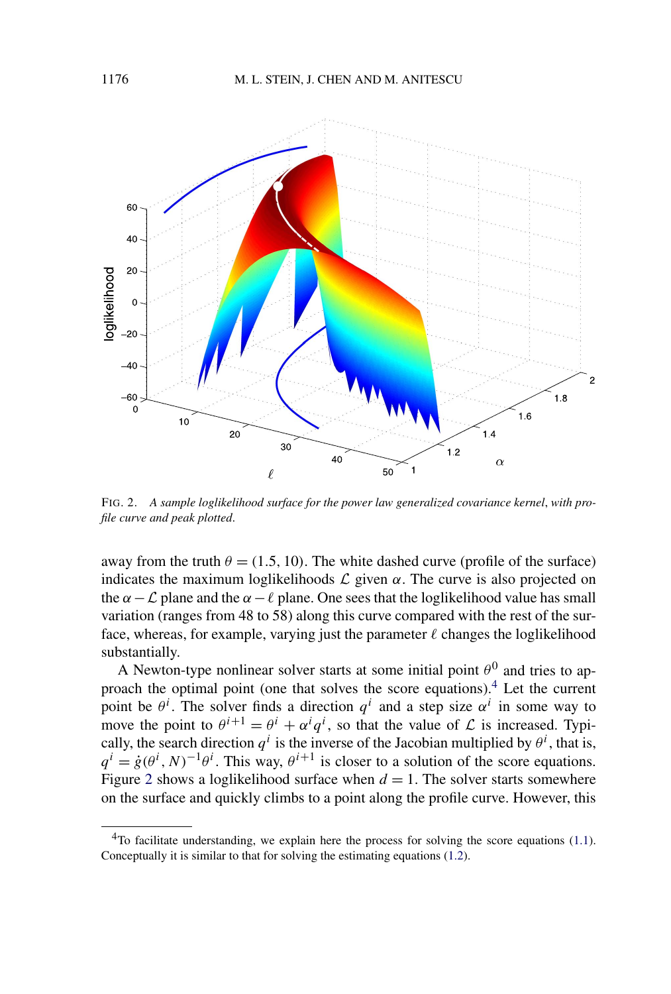<span id="page-14-0"></span>

FIG. 2. *A sample loglikelihood surface for the power law generalized covariance kernel*, *with profile curve and peak plotted*.

away from the truth  $\theta = (1.5, 10)$ . The white dashed curve (profile of the surface) indicates the maximum loglikelihoods  $\mathcal L$  given  $\alpha$ . The curve is also projected on the  $\alpha - \mathcal{L}$  plane and the  $\alpha - \ell$  plane. One sees that the loglikelihood value has small variation (ranges from 48 to 58) along this curve compared with the rest of the surface, whereas, for example, varying just the parameter  $\ell$  changes the loglikelihood substantially.

A Newton-type nonlinear solver starts at some initial point  $\theta^0$  and tries to approach the optimal point (one that solves the score equations).4 Let the current point be  $\theta^i$ . The solver finds a direction  $q^i$  and a step size  $\alpha^i$  in some way to move the point to  $\theta^{i+1} = \theta^i + \alpha^i q^i$ , so that the value of  $\mathcal L$  is increased. Typically, the search direction  $q^i$  is the inverse of the Jacobian multiplied by  $\theta^i$ , that is,  $q^{i} = \dot{g}(\theta^{i}, N)^{-1}\theta^{i}$ . This way,  $\theta^{i+1}$  is closer to a solution of the score equations. Figure 2 shows a loglikelihood surface when  $d = 1$ . The solver starts somewhere on the surface and quickly climbs to a point along the profile curve. However, this

 $4$ To facilitate understanding, we explain here the process for solving the score equations [\(1.1\)](#page-1-0). Conceptually it is similar to that for solving the estimating equations [\(1.2\)](#page-2-0).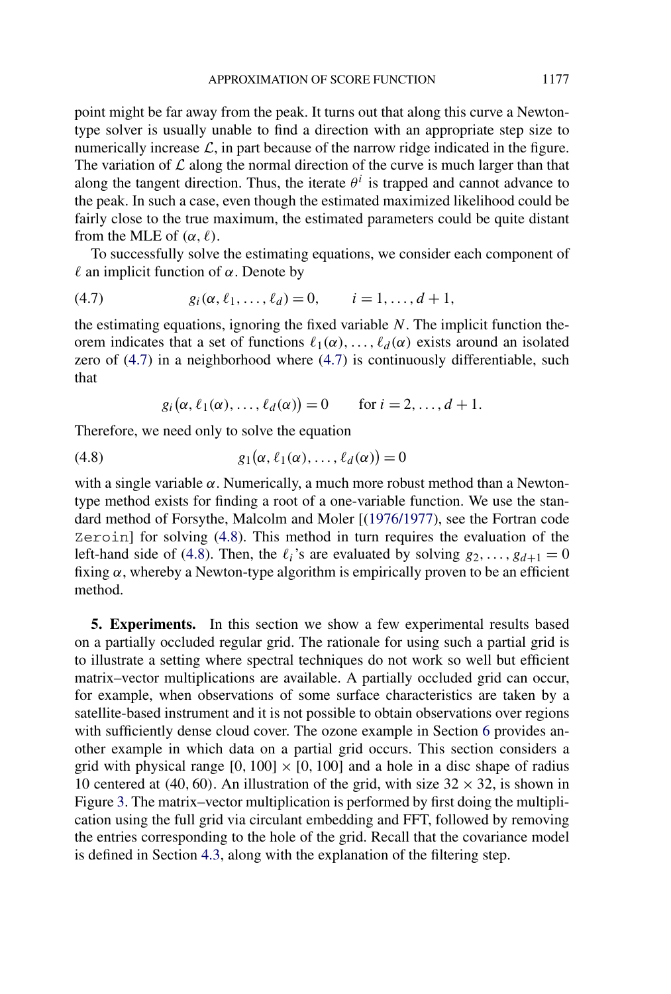<span id="page-15-0"></span>point might be far away from the peak. It turns out that along this curve a Newtontype solver is usually unable to find a direction with an appropriate step size to numerically increase  $\mathcal{L}$ , in part because of the narrow ridge indicated in the figure. The variation of  $\mathcal L$  along the normal direction of the curve is much larger than that along the tangent direction. Thus, the iterate  $\theta^i$  is trapped and cannot advance to the peak. In such a case, even though the estimated maximized likelihood could be fairly close to the true maximum, the estimated parameters could be quite distant from the MLE of  $(\alpha, \ell)$ .

To successfully solve the estimating equations, we consider each component of an implicit function of *α*. Denote by

(4.7) 
$$
g_i(\alpha, \ell_1, ..., \ell_d) = 0, \qquad i = 1, ..., d+1,
$$

the estimating equations, ignoring the fixed variable *N*. The implicit function theorem indicates that a set of functions  $\ell_1(\alpha), \ldots, \ell_d(\alpha)$  exists around an isolated zero of (4.7) in a neighborhood where (4.7) is continuously differentiable, such that

$$
g_i(\alpha, \ell_1(\alpha), \dots, \ell_d(\alpha)) = 0
$$
 for  $i = 2, \dots, d + 1$ .

Therefore, we need only to solve the equation

$$
(4.8) \t g_1(\alpha, \ell_1(\alpha), \ldots, \ell_d(\alpha)) = 0
$$

with a single variable  $\alpha$ . Numerically, a much more robust method than a Newtontype method exists for finding a root of a one-variable function. We use the standard method of Forsythe, Malcolm and Moler [[\(1976/1977\)](#page-28-0), see the Fortran code Zeroin] for solving (4.8). This method in turn requires the evaluation of the left-hand side of (4.8). Then, the  $\ell_i$ 's are evaluated by solving  $g_2, \ldots, g_{d+1} = 0$ fixing  $\alpha$ , whereby a Newton-type algorithm is empirically proven to be an efficient method.

**5. Experiments.** In this section we show a few experimental results based on a partially occluded regular grid. The rationale for using such a partial grid is to illustrate a setting where spectral techniques do not work so well but efficient matrix–vector multiplications are available. A partially occluded grid can occur, for example, when observations of some surface characteristics are taken by a satellite-based instrument and it is not possible to obtain observations over regions with sufficiently dense cloud cover. The ozone example in Section [6](#page-20-0) provides another example in which data on a partial grid occurs. This section considers a grid with physical range  $[0, 100] \times [0, 100]$  and a hole in a disc shape of radius 10 centered at  $(40, 60)$ . An illustration of the grid, with size  $32 \times 32$ , is shown in Figure [3.](#page-16-0) The matrix–vector multiplication is performed by first doing the multiplication using the full grid via circulant embedding and FFT, followed by removing the entries corresponding to the hole of the grid. Recall that the covariance model is defined in Section [4.3,](#page-13-0) along with the explanation of the filtering step.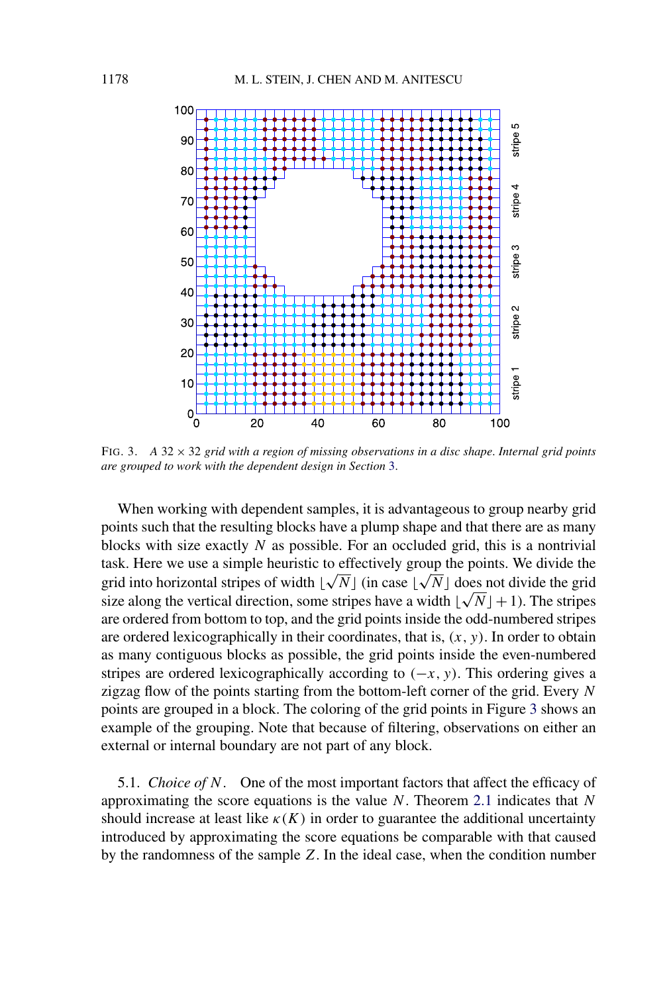<span id="page-16-0"></span>

FIG. 3. *A* 32 × 32 *grid with a region of missing observations in a disc shape*. *Internal grid points are grouped to work with the dependent design in Section* [3.](#page-8-0)

When working with dependent samples, it is advantageous to group nearby grid points such that the resulting blocks have a plump shape and that there are as many blocks with size exactly *N* as possible. For an occluded grid, this is a nontrivial task. Here we use a simple heuristic to effectively group the points. We divide the task. Here we use a simple heuristic to effectively group the points. We divide the grid into horizontal stripes of width  $\lfloor \sqrt{N} \rfloor$  (in case  $\lfloor \sqrt{N} \rfloor$  does not divide the grid grid into horizontal stripes of width  $\lfloor \sqrt{N} \rfloor$  (in case  $\lfloor \sqrt{N} \rfloor$  does not divide the grid size along the vertical direction, some stripes have a width  $\lfloor \sqrt{N} \rfloor + 1$ ). The stripes are ordered from bottom to top, and the grid points inside the odd-numbered stripes are ordered lexicographically in their coordinates, that is, *(x, y)*. In order to obtain as many contiguous blocks as possible, the grid points inside the even-numbered stripes are ordered lexicographically according to  $(-x, y)$ . This ordering gives a zigzag flow of the points starting from the bottom-left corner of the grid. Every *N* points are grouped in a block. The coloring of the grid points in Figure 3 shows an example of the grouping. Note that because of filtering, observations on either an external or internal boundary are not part of any block.

5.1. *Choice of N*. One of the most important factors that affect the efficacy of approximating the score equations is the value *N*. Theorem [2.1](#page-7-0) indicates that *N* should increase at least like  $\kappa(K)$  in order to guarantee the additional uncertainty introduced by approximating the score equations be comparable with that caused by the randomness of the sample *Z*. In the ideal case, when the condition number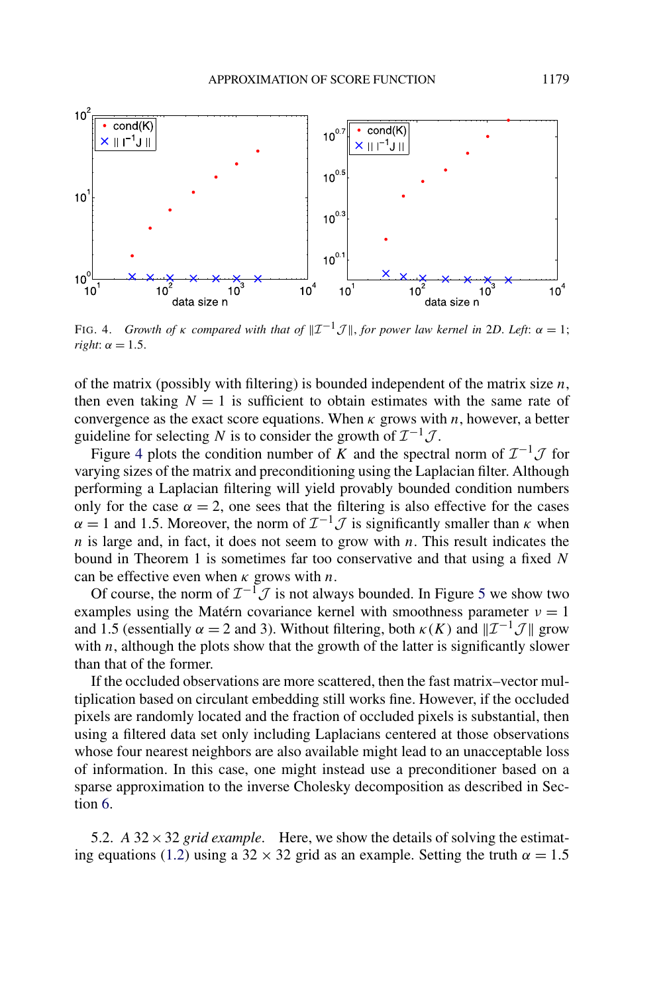

FIG. 4. *Growth of κ compared with that of*  $||T^{-1}J||$ , *for power law kernel in* 2*D*. *Left*:  $\alpha = 1$ ; *right*:  $\alpha = 1.5$ .

of the matrix (possibly with filtering) is bounded independent of the matrix size *n*, then even taking  $N = 1$  is sufficient to obtain estimates with the same rate of convergence as the exact score equations. When  $\kappa$  grows with  $n$ , however, a better guideline for selecting *N* is to consider the growth of  $\mathcal{I}^{-1}\mathcal{J}$ .

Figure 4 plots the condition number of *K* and the spectral norm of  $\mathcal{I}^{-1}\mathcal{J}$  for varying sizes of the matrix and preconditioning using the Laplacian filter. Although performing a Laplacian filtering will yield provably bounded condition numbers only for the case  $\alpha = 2$ , one sees that the filtering is also effective for the cases  $\alpha = 1$  and 1.5. Moreover, the norm of  $\mathcal{I}^{-1}\mathcal{J}$  is significantly smaller than  $\kappa$  when *n* is large and, in fact, it does not seem to grow with *n*. This result indicates the bound in Theorem 1 is sometimes far too conservative and that using a fixed *N* can be effective even when *κ* grows with *n*.

Of course, the norm of  $\mathcal{I}^{-1}$  $\mathcal{I}$  is not always bounded. In Figure [5](#page-18-0) we show two examples using the Matérn covariance kernel with smoothness parameter  $\nu = 1$ and 1.5 (essentially  $\alpha = 2$  and 3). Without filtering, both  $\kappa(K)$  and  $||\mathcal{I}^{-1}\mathcal{J}||$  grow with *n*, although the plots show that the growth of the latter is significantly slower than that of the former.

If the occluded observations are more scattered, then the fast matrix–vector multiplication based on circulant embedding still works fine. However, if the occluded pixels are randomly located and the fraction of occluded pixels is substantial, then using a filtered data set only including Laplacians centered at those observations whose four nearest neighbors are also available might lead to an unacceptable loss of information. In this case, one might instead use a preconditioner based on a sparse approximation to the inverse Cholesky decomposition as described in Section [6.](#page-20-0)

5.2. *A*  $32 \times 32$  *grid example*. Here, we show the details of solving the estimat-ing equations [\(1.2\)](#page-2-0) using a  $32 \times 32$  grid as an example. Setting the truth  $\alpha = 1.5$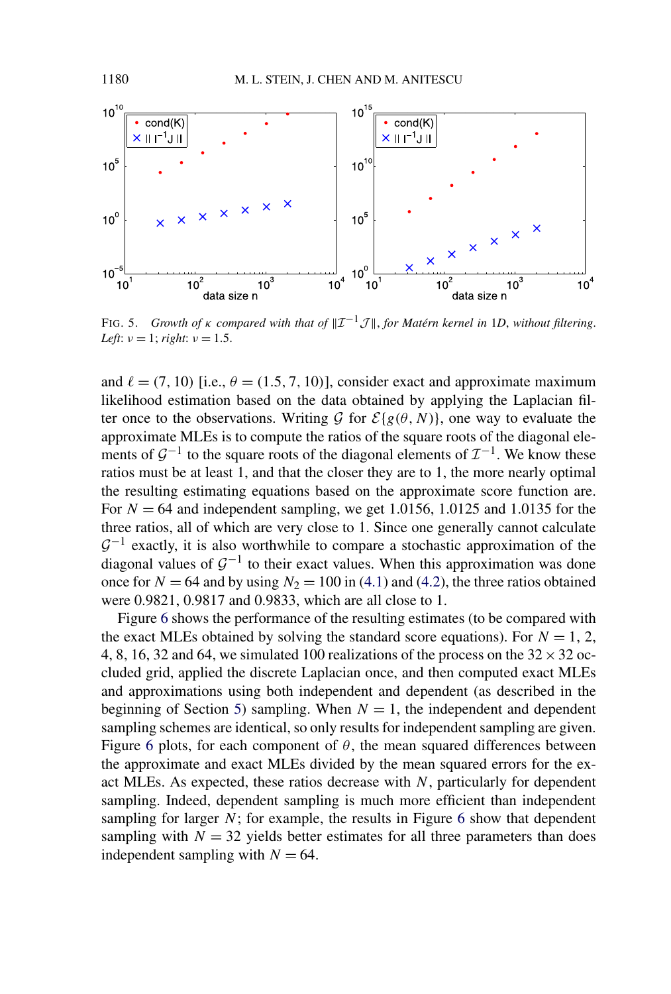<span id="page-18-0"></span>

FIG. 5. *Growth of*  $\kappa$  *compared with that of*  $\|\mathcal{I}^{-1}\mathcal{J}\|$ *, for Matérn kernel in 1D, without filtering. Left*:  $v = 1$ ; *right*:  $v = 1.5$ .

and  $\ell = (7, 10)$  [i.e.,  $\theta = (1.5, 7, 10)$ ], consider exact and approximate maximum likelihood estimation based on the data obtained by applying the Laplacian filter once to the observations. Writing  $G$  for  $\mathcal{E}{g(\theta, N)}$ , one way to evaluate the approximate MLEs is to compute the ratios of the square roots of the diagonal elements of  $\mathcal{G}^{-1}$  to the square roots of the diagonal elements of  $\mathcal{I}^{-1}$ . We know these ratios must be at least 1, and that the closer they are to 1, the more nearly optimal the resulting estimating equations based on the approximate score function are. For  $N = 64$  and independent sampling, we get 1.0156, 1.0125 and 1.0135 for the three ratios, all of which are very close to 1. Since one generally cannot calculate  $\mathcal{G}^{-1}$  exactly, it is also worthwhile to compare a stochastic approximation of the diagonal values of  $\mathcal{G}^{-1}$  to their exact values. When this approximation was done once for  $N = 64$  and by using  $N_2 = 100$  in [\(4.1\)](#page-10-0) and [\(4.2\)](#page-10-0), the three ratios obtained were 0.9821, 0.9817 and 0.9833, which are all close to 1.

Figure [6](#page-19-0) shows the performance of the resulting estimates (to be compared with the exact MLEs obtained by solving the standard score equations). For  $N = 1, 2,$ 4, 8, 16, 32 and 64, we simulated 100 realizations of the process on the  $32 \times 32$  occluded grid, applied the discrete Laplacian once, and then computed exact MLEs and approximations using both independent and dependent (as described in the beginning of Section [5\)](#page-15-0) sampling. When  $N = 1$ , the independent and dependent sampling schemes are identical, so only results for independent sampling are given. Figure [6](#page-19-0) plots, for each component of  $\theta$ , the mean squared differences between the approximate and exact MLEs divided by the mean squared errors for the exact MLEs. As expected, these ratios decrease with *N*, particularly for dependent sampling. Indeed, dependent sampling is much more efficient than independent sampling for larger  $N$ ; for example, the results in Figure [6](#page-19-0) show that dependent sampling with  $N = 32$  yields better estimates for all three parameters than does independent sampling with  $N = 64$ .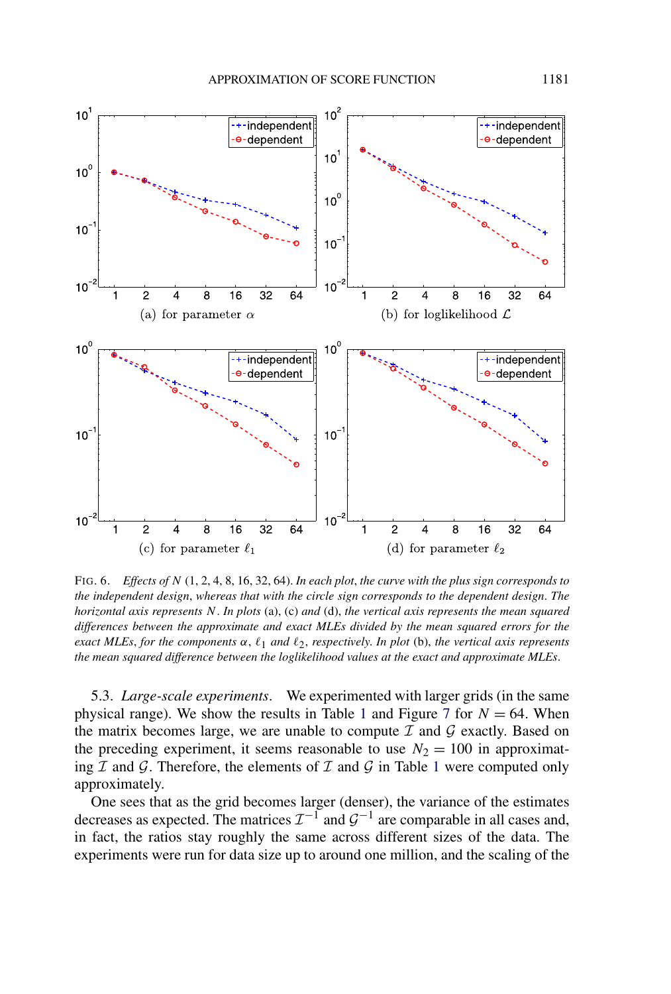<span id="page-19-0"></span>

FIG. 6. *Effects of N* (1, 2, 4, 8, 16, 32, 64). *In each plot*, *the curve with the plus sign corresponds to the independent design*, *whereas that with the circle sign corresponds to the dependent design*. *The horizontal axis represents N*. *In plots* (a), (c) *and* (d), *the vertical axis represents the mean squared differences between the approximate and exact MLEs divided by the mean squared errors for the exact MLEs, for the components*  $\alpha$ ,  $\ell_1$  *and*  $\ell_2$ , *respectively. In plot* (b), *the vertical axis represents the mean squared difference between the loglikelihood values at the exact and approximate MLEs*.

5.3. *Large-scale experiments*. We experimented with larger grids (in the same physical range). We show the results in Table [1](#page-20-0) and Figure [7](#page-20-0) for  $N = 64$ . When the matrix becomes large, we are unable to compute  $\mathcal I$  and  $\mathcal G$  exactly. Based on the preceding experiment, it seems reasonable to use  $N_2 = 100$  in approximating  $I$  and  $G$ . Therefore, the elements of  $I$  and  $G$  in Table [1](#page-20-0) were computed only approximately.

One sees that as the grid becomes larger (denser), the variance of the estimates decreases as expected. The matrices  $\mathcal{I}^{-1}$  and  $\mathcal{G}^{-1}$  are comparable in all cases and, in fact, the ratios stay roughly the same across different sizes of the data. The experiments were run for data size up to around one million, and the scaling of the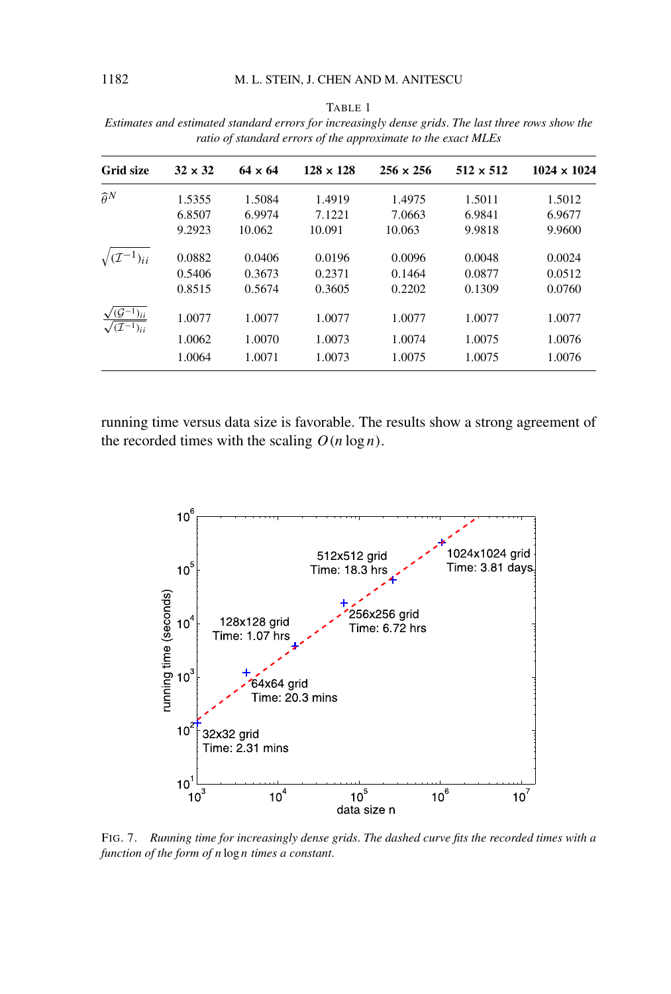| $32 \times 32$ | $64 \times 64$ | $128 \times 128$ | $256 \times 256$ | $512 \times 512$ | $1024 \times 1024$ |
|----------------|----------------|------------------|------------------|------------------|--------------------|
| 1.5355         | 1.5084         | 1.4919           | 1.4975           | 1.5011           | 1.5012             |
| 6.8507         | 6.9974         | 7.1221           | 7.0663           | 6.9841           | 6.9677             |
| 9.2923         | 10.062         | 10.091           | 10.063           | 9.9818           | 9.9600             |
| 0.0882         | 0.0406         | 0.0196           | 0.0096           | 0.0048           | 0.0024             |
| 0.5406         | 0.3673         | 0.2371           | 0.1464           | 0.0877           | 0.0512             |
| 0.8515         | 0.5674         | 0.3605           | 0.2202           | 0.1309           | 0.0760             |
| 1.0077         | 1.0077         | 1.0077           | 1.0077           | 1.0077           | 1.0077             |
| 1.0062         | 1.0070         | 1.0073           | 1.0074           | 1.0075           | 1.0076             |
| 1.0064         | 1.0071         | 1.0073           | 1.0075           | 1.0075           | 1.0076             |
|                |                |                  |                  |                  |                    |

<span id="page-20-0"></span>TABLE 1 *Estimates and estimated standard errors for increasingly dense grids*. *The last three rows show the ratio of standard errors of the approximate to the exact MLEs*

running time versus data size is favorable. The results show a strong agreement of the recorded times with the scaling  $O(n \log n)$ .



FIG. 7. *Running time for increasingly dense grids*. *The dashed curve fits the recorded times with a function of the form of n* log *n times a constant*.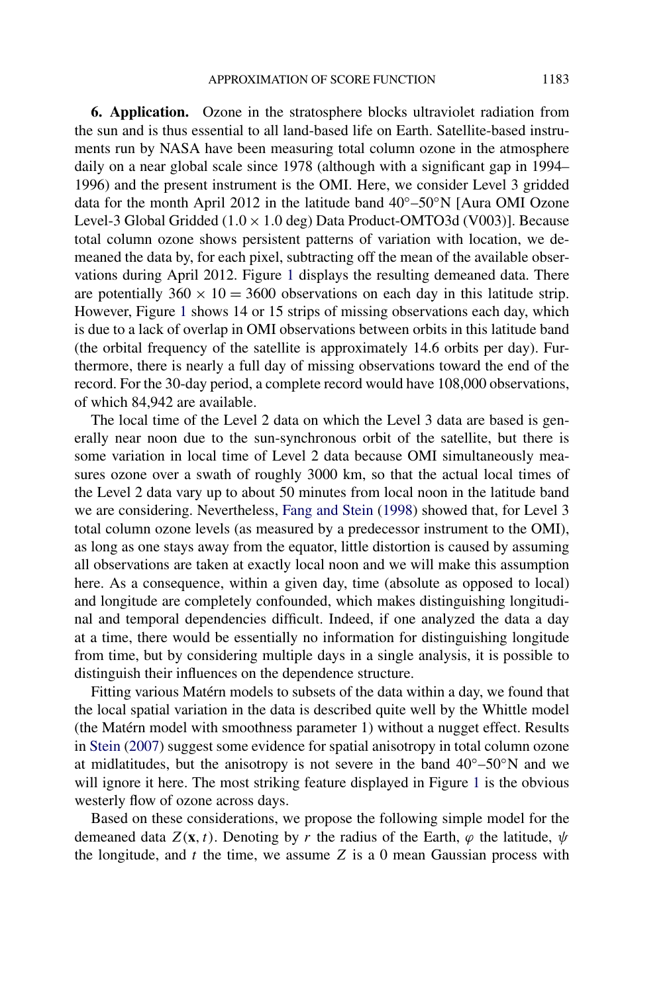**6. Application.** Ozone in the stratosphere blocks ultraviolet radiation from the sun and is thus essential to all land-based life on Earth. Satellite-based instruments run by NASA have been measuring total column ozone in the atmosphere daily on a near global scale since 1978 (although with a significant gap in 1994– 1996) and the present instrument is the OMI. Here, we consider Level 3 gridded data for the month April 2012 in the latitude band 40◦–50◦N [Aura OMI Ozone Level-3 Global Gridded (1.0 × 1.0 deg) Data Product-OMTO3d (V003)]. Because total column ozone shows persistent patterns of variation with location, we demeaned the data by, for each pixel, subtracting off the mean of the available observations during April 2012. Figure [1](#page-6-0) displays the resulting demeaned data. There are potentially  $360 \times 10 = 3600$  observations on each day in this latitude strip. However, Figure [1](#page-6-0) shows 14 or 15 strips of missing observations each day, which is due to a lack of overlap in OMI observations between orbits in this latitude band (the orbital frequency of the satellite is approximately 14.6 orbits per day). Furthermore, there is nearly a full day of missing observations toward the end of the record. For the 30-day period, a complete record would have 108,000 observations, of which 84,942 are available.

The local time of the Level 2 data on which the Level 3 data are based is generally near noon due to the sun-synchronous orbit of the satellite, but there is some variation in local time of Level 2 data because OMI simultaneously measures ozone over a swath of roughly 3000 km, so that the actual local times of the Level 2 data vary up to about 50 minutes from local noon in the latitude band we are considering. Nevertheless, [Fang and Stein](#page-28-0) [\(1998\)](#page-28-0) showed that, for Level 3 total column ozone levels (as measured by a predecessor instrument to the OMI), as long as one stays away from the equator, little distortion is caused by assuming all observations are taken at exactly local noon and we will make this assumption here. As a consequence, within a given day, time (absolute as opposed to local) and longitude are completely confounded, which makes distinguishing longitudinal and temporal dependencies difficult. Indeed, if one analyzed the data a day at a time, there would be essentially no information for distinguishing longitude from time, but by considering multiple days in a single analysis, it is possible to distinguish their influences on the dependence structure.

Fitting various Matérn models to subsets of the data within a day, we found that the local spatial variation in the data is described quite well by the Whittle model (the Matérn model with smoothness parameter 1) without a nugget effect. Results in [Stein](#page-29-0) [\(2007\)](#page-29-0) suggest some evidence for spatial anisotropy in total column ozone at midlatitudes, but the anisotropy is not severe in the band  $40°-50°N$  and we will ignore it here. The most striking feature displayed in Figure [1](#page-6-0) is the obvious westerly flow of ozone across days.

Based on these considerations, we propose the following simple model for the demeaned data  $Z(\mathbf{x},t)$ . Denoting by *r* the radius of the Earth,  $\varphi$  the latitude,  $\psi$ the longitude, and  $t$  the time, we assume  $Z$  is a 0 mean Gaussian process with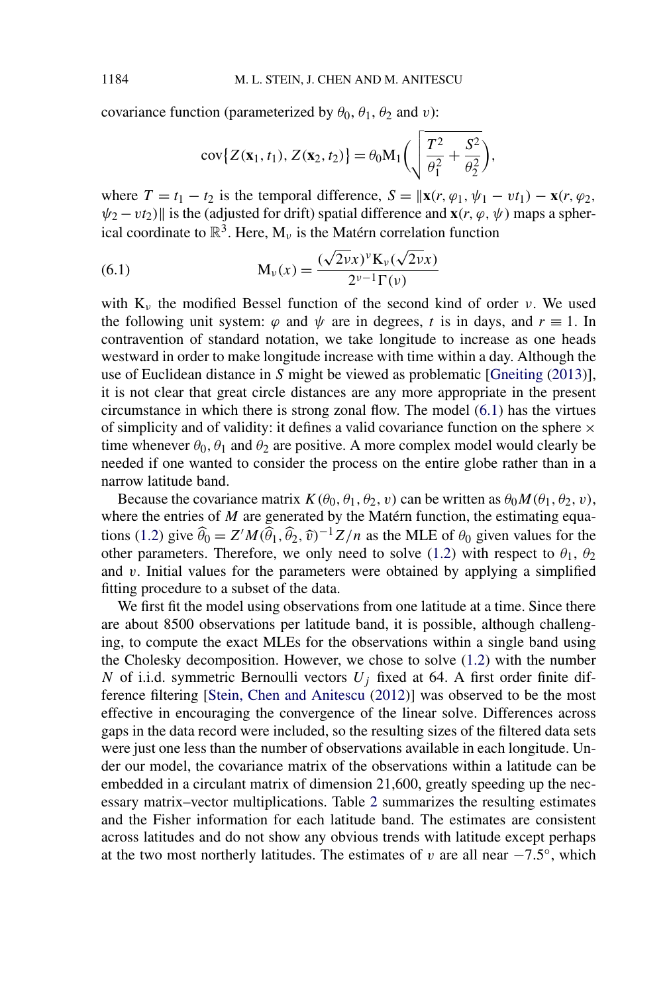covariance function (parameterized by  $\theta_0$ ,  $\theta_1$ ,  $\theta_2$  and *v*):

$$
cov\{Z(\mathbf{x}_1,t_1), Z(\mathbf{x}_2,t_2)\} = \theta_0 M_1 \left(\sqrt{\frac{T^2}{\theta_1^2} + \frac{S^2}{\theta_2^2}}\right),
$$

where  $T = t_1 - t_2$  is the temporal difference,  $S = |\mathbf{x}(r, \varphi_1, \psi_1 - vt_1) - \mathbf{x}(r, \varphi_2, \psi_1 - vt_1)|$  $\psi_2 - vt_2$ ) is the (adjusted for drift) spatial difference and **x***(r,*  $\varphi$ *,*  $\psi$ *)* maps a spherical coordinate to  $\mathbb{R}^3$ . Here,  $M_{\nu}$  is the Matérn correlation function

(6.1) 
$$
M_{\nu}(x) = \frac{(\sqrt{2\nu}x)^{\nu}K_{\nu}(\sqrt{2\nu}x)}{2^{\nu-1}\Gamma(\nu)}
$$

with K*<sup>ν</sup>* the modified Bessel function of the second kind of order *ν*. We used the following unit system:  $\varphi$  and  $\psi$  are in degrees, *t* is in days, and  $r \equiv 1$ . In contravention of standard notation, we take longitude to increase as one heads westward in order to make longitude increase with time within a day. Although the use of Euclidean distance in *S* might be viewed as problematic [\[Gneiting](#page-28-0) [\(2013\)](#page-28-0)], it is not clear that great circle distances are any more appropriate in the present circumstance in which there is strong zonal flow. The model (6.1) has the virtues of simplicity and of validity: it defines a valid covariance function on the sphere  $\times$ time whenever  $\theta_0$ ,  $\theta_1$  and  $\theta_2$  are positive. A more complex model would clearly be needed if one wanted to consider the process on the entire globe rather than in a narrow latitude band.

Because the covariance matrix  $K(\theta_0, \theta_1, \theta_2, v)$  can be written as  $\theta_0 M(\theta_1, \theta_2, v)$ , where the entries of *M* are generated by the Matérn function, the estimating equa-tions [\(1.2\)](#page-2-0) give  $\widehat{\theta}_0 = Z'M(\widehat{\theta}_1, \widehat{\theta}_2, \widehat{v})^{-1}Z/n$  as the MLE of  $\theta_0$  given values for the other permeters. Therefore, we only need to solve (1.2) with respect to  $\theta_1$ ,  $\theta_2$ other parameters. Therefore, we only need to solve [\(1.2\)](#page-2-0) with respect to  $\theta_1$ ,  $\theta_2$ and *v*. Initial values for the parameters were obtained by applying a simplified fitting procedure to a subset of the data.

We first fit the model using observations from one latitude at a time. Since there are about 8500 observations per latitude band, it is possible, although challenging, to compute the exact MLEs for the observations within a single band using the Cholesky decomposition. However, we chose to solve [\(1.2\)](#page-2-0) with the number *N* of i.i.d. symmetric Bernoulli vectors  $U_i$  fixed at 64. A first order finite difference filtering [\[Stein, Chen and Anitescu](#page-29-0) [\(2012\)](#page-29-0)] was observed to be the most effective in encouraging the convergence of the linear solve. Differences across gaps in the data record were included, so the resulting sizes of the filtered data sets were just one less than the number of observations available in each longitude. Under our model, the covariance matrix of the observations within a latitude can be embedded in a circulant matrix of dimension 21,600, greatly speeding up the necessary matrix–vector multiplications. Table [2](#page-23-0) summarizes the resulting estimates and the Fisher information for each latitude band. The estimates are consistent across latitudes and do not show any obvious trends with latitude except perhaps at the two most northerly latitudes. The estimates of *v* are all near  $-7.5^\circ$ , which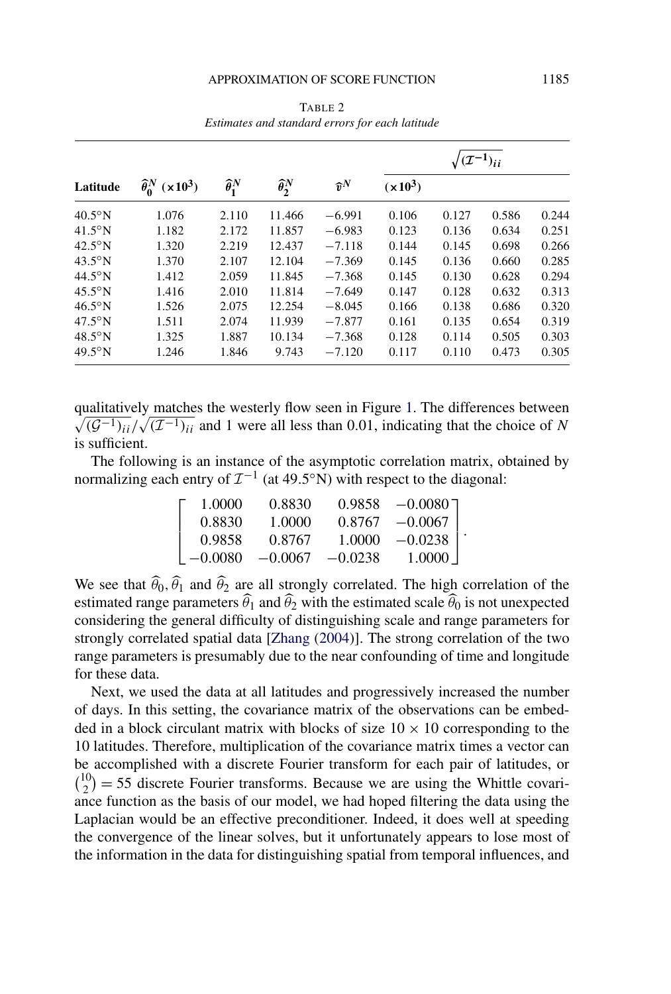<span id="page-23-0"></span>

| Latitude       | $\widehat{\theta}_0^N$ (x10 <sup>3</sup> ) | $\widehat{\theta}_1^N$ | $\widehat{\theta}_2^N$ | $\widehat{v}^N$ | $(x10^3)$ |       |       |       |
|----------------|--------------------------------------------|------------------------|------------------------|-----------------|-----------|-------|-------|-------|
| $40.5^\circ$ N | 1.076                                      | 2.110                  | 11.466                 | $-6.991$        | 0.106     | 0.127 | 0.586 | 0.244 |
| $41.5^\circ$ N | 1.182                                      | 2.172                  | 11.857                 | $-6.983$        | 0.123     | 0.136 | 0.634 | 0.251 |
| $42.5^\circ$ N | 1.320                                      | 2.219                  | 12.437                 | $-7.118$        | 0.144     | 0.145 | 0.698 | 0.266 |
| $43.5^\circ$ N | 1.370                                      | 2.107                  | 12.104                 | $-7.369$        | 0.145     | 0.136 | 0.660 | 0.285 |
| $44.5^\circ$ N | 1.412                                      | 2.059                  | 11.845                 | $-7.368$        | 0.145     | 0.130 | 0.628 | 0.294 |
| $45.5^\circ$ N | 1.416                                      | 2.010                  | 11.814                 | $-7.649$        | 0.147     | 0.128 | 0.632 | 0.313 |
| $46.5^\circ$ N | 1.526                                      | 2.075                  | 12.254                 | $-8.045$        | 0.166     | 0.138 | 0.686 | 0.320 |
| $47.5^\circ$ N | 1.511                                      | 2.074                  | 11.939                 | $-7.877$        | 0.161     | 0.135 | 0.654 | 0.319 |
| $48.5^\circ$ N | 1.325                                      | 1.887                  | 10.134                 | $-7.368$        | 0.128     | 0.114 | 0.505 | 0.303 |
| $49.5^\circ$ N | 1.246                                      | 1.846                  | 9.743                  | $-7.120$        | 0.117     | 0.110 | 0.473 | 0.305 |

TABLE 2 *Estimates and standard errors for each latitude*

qualitatively matches the westerly flow seen in Figure [1.](#page-6-0) The differences between  $\sqrt{(G^{-1})_{ii}}/\sqrt{(T^{-1})_{ii}}$  and 1 were all less than 0.01, indicating that the choice of *N* is sufficient.

The following is an instance of the asymptotic correlation matrix, obtained by normalizing each entry of  $\mathcal{I}^{-1}$  (at 49.5°N) with respect to the diagonal:

| 1.0000       | 0.8830    | 0.9858    | $-0.0080$ T |  |
|--------------|-----------|-----------|-------------|--|
| 0.8830       | 1.0000    | 0.8767    | $-0.0067$   |  |
| 0.9858       | 0.8767    | 1.0000    | $-0.0238$   |  |
| $1 - 0.0080$ | $-0.0067$ | $-0.0238$ | $1.0000$    |  |

We see that  $\hat{\theta}_0$ ,  $\hat{\theta}_1$  and  $\hat{\theta}_2$  are all strongly correlated. The high correlation of the estimated range parameters  $\hat{\theta}_1$  and  $\hat{\theta}_2$  with the estimated scale  $\hat{\theta}_0$  is not unexpected considering the general difficulty of distinguishing scale and range parameters for strongly correlated spatial data [\[Zhang](#page-29-0) [\(2004\)](#page-29-0)]. The strong correlation of the two range parameters is presumably due to the near confounding of time and longitude for these data.

Next, we used the data at all latitudes and progressively increased the number of days. In this setting, the covariance matrix of the observations can be embedded in a block circulant matrix with blocks of size  $10 \times 10$  corresponding to the 10 latitudes. Therefore, multiplication of the covariance matrix times a vector can be accomplished with a discrete Fourier transform for each pair of latitudes, or  $\binom{10}{2} = 55$  discrete Fourier transforms. Because we are using the Whittle covariance function as the basis of our model, we had hoped filtering the data using the Laplacian would be an effective preconditioner. Indeed, it does well at speeding the convergence of the linear solves, but it unfortunately appears to lose most of the information in the data for distinguishing spatial from temporal influences, and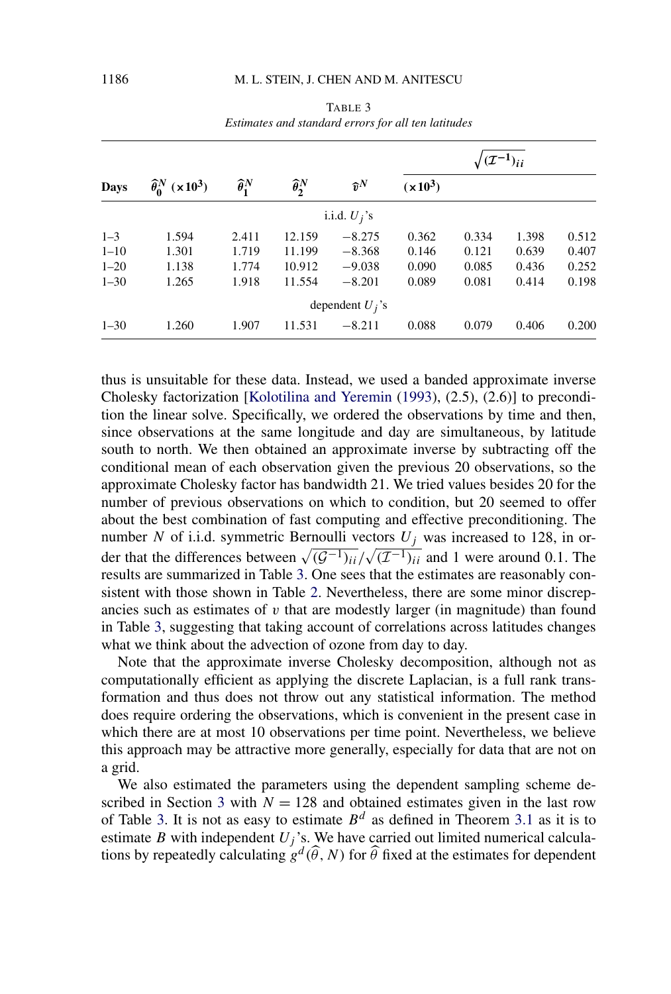| Days     | $\widehat{\theta}_0^N$ (x10 <sup>3</sup> ) | $\widehat{\theta}_1^N$ | $\widehat{\theta}_2^N$ | $\widehat{v}^N$    | $(x10^3)$ |       |       |       |
|----------|--------------------------------------------|------------------------|------------------------|--------------------|-----------|-------|-------|-------|
|          |                                            |                        |                        | i.i.d. $U_j$ 's    |           |       |       |       |
| $1 - 3$  | 1.594                                      | 2.411                  | 12.159                 | $-8.275$           | 0.362     | 0.334 | 1.398 | 0.512 |
| $1 - 10$ | 1.301                                      | 1.719                  | 11.199                 | $-8.368$           | 0.146     | 0.121 | 0.639 | 0.407 |
| $1 - 20$ | 1.138                                      | 1.774                  | 10.912                 | $-9.038$           | 0.090     | 0.085 | 0.436 | 0.252 |
| $1 - 30$ | 1.265                                      | 1.918                  | 11.554                 | $-8.201$           | 0.089     | 0.081 | 0.414 | 0.198 |
|          |                                            |                        |                        | dependent $U_i$ 's |           |       |       |       |
| $1 - 30$ | 1.260                                      | 1.907                  | 11.531                 | $-8.211$           | 0.088     | 0.079 | 0.406 | 0.200 |

TABLE 3 *Estimates and standard errors for all ten latitudes*

thus is unsuitable for these data. Instead, we used a banded approximate inverse Cholesky factorization [\[Kolotilina and Yeremin](#page-29-0) [\(1993\)](#page-29-0), (2.5), (2.6)] to precondition the linear solve. Specifically, we ordered the observations by time and then, since observations at the same longitude and day are simultaneous, by latitude south to north. We then obtained an approximate inverse by subtracting off the conditional mean of each observation given the previous 20 observations, so the approximate Cholesky factor has bandwidth 21. We tried values besides 20 for the number of previous observations on which to condition, but 20 seemed to offer about the best combination of fast computing and effective preconditioning. The number *N* of i.i.d. symmetric Bernoulli vectors  $U_j$  was increased to 128, in order that the differences between  $\sqrt{(G^{-1})_{ii}}/\sqrt{(T^{-1})_{ii}}$  and 1 were around 0.1. The results are summarized in Table 3. One sees that the estimates are reasonably consistent with those shown in Table [2.](#page-23-0) Nevertheless, there are some minor discrepancies such as estimates of  $\nu$  that are modestly larger (in magnitude) than found in Table 3, suggesting that taking account of correlations across latitudes changes what we think about the advection of ozone from day to day.

Note that the approximate inverse Cholesky decomposition, although not as computationally efficient as applying the discrete Laplacian, is a full rank transformation and thus does not throw out any statistical information. The method does require ordering the observations, which is convenient in the present case in which there are at most 10 observations per time point. Nevertheless, we believe this approach may be attractive more generally, especially for data that are not on a grid.

We also estimated the parameters using the dependent sampling scheme de-scribed in Section [3](#page-8-0) with  $N = 128$  and obtained estimates given in the last row of Table 3. It is not as easy to estimate  $B^d$  as defined in Theorem [3.1](#page-9-0) as it is to estimate *B* with independent  $U_i$ 's. We have carried out limited numerical calculations by repeatedly calculating  $g^d$   $(\widehat{\theta},N)$  for  $\widehat{\theta}$  fixed at the estimates for dependent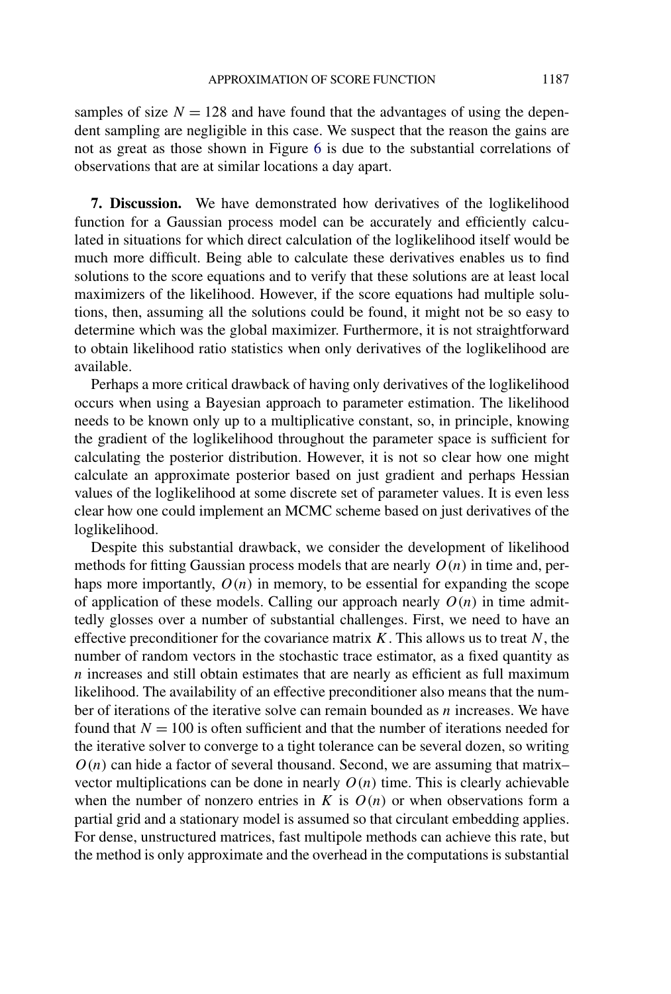samples of size  $N = 128$  and have found that the advantages of using the dependent sampling are negligible in this case. We suspect that the reason the gains are not as great as those shown in Figure [6](#page-19-0) is due to the substantial correlations of observations that are at similar locations a day apart.

**7. Discussion.** We have demonstrated how derivatives of the loglikelihood function for a Gaussian process model can be accurately and efficiently calculated in situations for which direct calculation of the loglikelihood itself would be much more difficult. Being able to calculate these derivatives enables us to find solutions to the score equations and to verify that these solutions are at least local maximizers of the likelihood. However, if the score equations had multiple solutions, then, assuming all the solutions could be found, it might not be so easy to determine which was the global maximizer. Furthermore, it is not straightforward to obtain likelihood ratio statistics when only derivatives of the loglikelihood are available.

Perhaps a more critical drawback of having only derivatives of the loglikelihood occurs when using a Bayesian approach to parameter estimation. The likelihood needs to be known only up to a multiplicative constant, so, in principle, knowing the gradient of the loglikelihood throughout the parameter space is sufficient for calculating the posterior distribution. However, it is not so clear how one might calculate an approximate posterior based on just gradient and perhaps Hessian values of the loglikelihood at some discrete set of parameter values. It is even less clear how one could implement an MCMC scheme based on just derivatives of the loglikelihood.

Despite this substantial drawback, we consider the development of likelihood methods for fitting Gaussian process models that are nearly  $O(n)$  in time and, perhaps more importantly,  $O(n)$  in memory, to be essential for expanding the scope of application of these models. Calling our approach nearly  $O(n)$  in time admittedly glosses over a number of substantial challenges. First, we need to have an effective preconditioner for the covariance matrix *K*. This allows us to treat *N*, the number of random vectors in the stochastic trace estimator, as a fixed quantity as *n* increases and still obtain estimates that are nearly as efficient as full maximum likelihood. The availability of an effective preconditioner also means that the number of iterations of the iterative solve can remain bounded as *n* increases. We have found that  $N = 100$  is often sufficient and that the number of iterations needed for the iterative solver to converge to a tight tolerance can be several dozen, so writing  $O(n)$  can hide a factor of several thousand. Second, we are assuming that matrix– vector multiplications can be done in nearly  $O(n)$  time. This is clearly achievable when the number of nonzero entries in  $K$  is  $O(n)$  or when observations form a partial grid and a stationary model is assumed so that circulant embedding applies. For dense, unstructured matrices, fast multipole methods can achieve this rate, but the method is only approximate and the overhead in the computations is substantial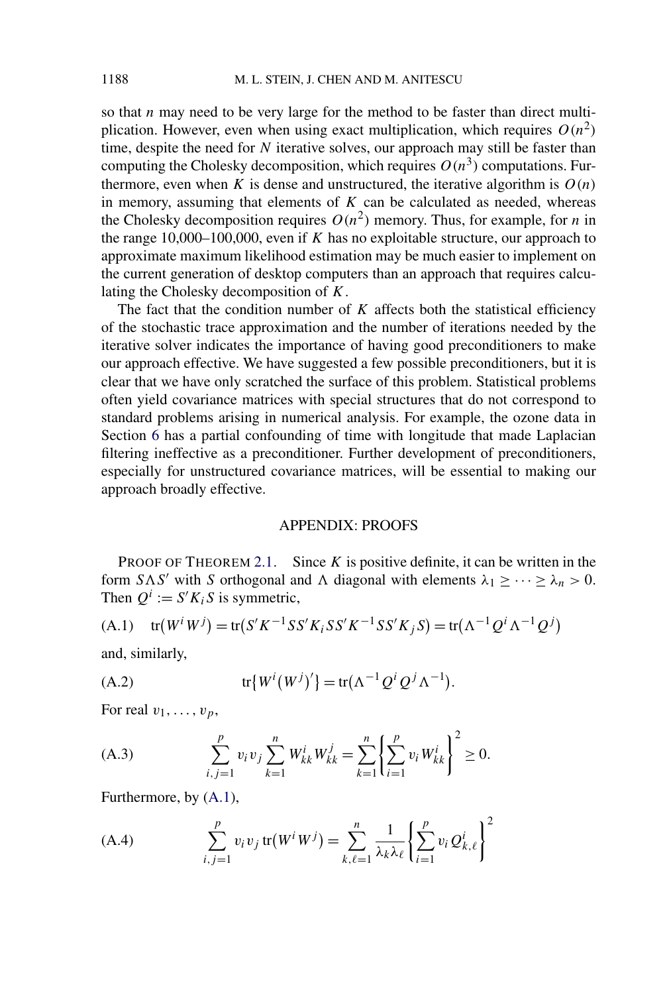<span id="page-26-0"></span>so that *n* may need to be very large for the method to be faster than direct multiplication. However, even when using exact multiplication, which requires  $O(n^2)$ time, despite the need for *N* iterative solves, our approach may still be faster than computing the Cholesky decomposition, which requires  $O(n^3)$  computations. Furthermore, even when *K* is dense and unstructured, the iterative algorithm is  $O(n)$ in memory, assuming that elements of  $K$  can be calculated as needed, whereas the Cholesky decomposition requires  $O(n^2)$  memory. Thus, for example, for *n* in the range 10,000–100,000, even if *K* has no exploitable structure, our approach to approximate maximum likelihood estimation may be much easier to implement on the current generation of desktop computers than an approach that requires calculating the Cholesky decomposition of *K*.

The fact that the condition number of  $K$  affects both the statistical efficiency of the stochastic trace approximation and the number of iterations needed by the iterative solver indicates the importance of having good preconditioners to make our approach effective. We have suggested a few possible preconditioners, but it is clear that we have only scratched the surface of this problem. Statistical problems often yield covariance matrices with special structures that do not correspond to standard problems arising in numerical analysis. For example, the ozone data in Section [6](#page-20-0) has a partial confounding of time with longitude that made Laplacian filtering ineffective as a preconditioner. Further development of preconditioners, especially for unstructured covariance matrices, will be essential to making our approach broadly effective.

## APPENDIX: PROOFS

PROOF OF THEOREM [2.1.](#page-7-0) Since *K* is positive definite, it can be written in the form *SAS'* with *S* orthogonal and  $\Lambda$  diagonal with elements  $\lambda_1 \geq \cdots \geq \lambda_n > 0$ . Then  $Q^i := S'K_iS$  is symmetric,

(A.1) 
$$
tr(W^i W^j) = tr(S' K^{-1} S S' K_i S S' K^{-1} S S' K_j S) = tr(\Lambda^{-1} Q^i \Lambda^{-1} Q^j)
$$

and, similarly,

(A.2) 
$$
\text{tr}\{W^{i}(W^{j})'\} = \text{tr}(\Lambda^{-1}Q^{i}Q^{j}\Lambda^{-1}).
$$

For real  $v_1, \ldots, v_n$ ,

(A.3) 
$$
\sum_{i,j=1}^p v_i v_j \sum_{k=1}^n W_{kk}^i W_{kk}^j = \sum_{k=1}^n \left\{ \sum_{i=1}^p v_i W_{kk}^i \right\}^2 \ge 0.
$$

Furthermore, by (A.1),

(A.4) 
$$
\sum_{i,j=1}^{p} v_i v_j \operatorname{tr}(W^i W^j) = \sum_{k,\ell=1}^{n} \frac{1}{\lambda_k \lambda_{\ell}} \left\{ \sum_{i=1}^{p} v_i Q^i_{k,\ell} \right\}^2
$$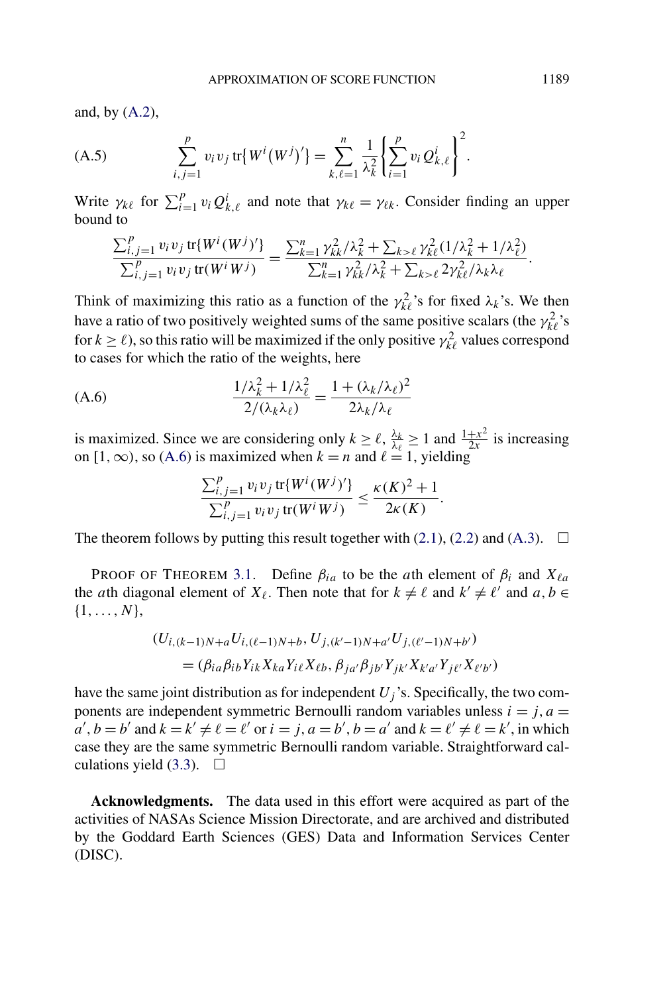and, by [\(A.2\)](#page-26-0),

(A.5) 
$$
\sum_{i,j=1}^p v_i v_j \text{ tr} \{ W^i (W^j)' \} = \sum_{k,\ell=1}^n \frac{1}{\lambda_k^2} \left\{ \sum_{i=1}^p v_i Q_{k,\ell}^i \right\}^2.
$$

Write  $\gamma_{k\ell}$  for  $\sum_{i=1}^p v_i Q_{k,\ell}^i$  and note that  $\gamma_{k\ell} = \gamma_{\ell k}$ . Consider finding an upper bound to

$$
\frac{\sum_{i,j=1}^p v_i v_j \operatorname{tr} \{ W^i (W^j)'\}}{\sum_{i,j=1}^p v_i v_j \operatorname{tr} (W^i W^j)} = \frac{\sum_{k=1}^n \gamma_{kk}^2 / \lambda_k^2 + \sum_{k > \ell} \gamma_{k\ell}^2 (1/\lambda_k^2 + 1/\lambda_{\ell}^2)}{\sum_{k=1}^n \gamma_{kk}^2 / \lambda_k^2 + \sum_{k > \ell} 2\gamma_{k\ell}^2 / \lambda_k \lambda_{\ell}}.
$$

Think of maximizing this ratio as a function of the  $\gamma_{k\ell}^2$ 's for fixed  $\lambda_k$ 's. We then have a ratio of two positively weighted sums of the same positive scalars (the  $\gamma_{k\ell}^2$ 's for  $k \ge \ell$ ), so this ratio will be maximized if the only positive  $\gamma_{k\ell}^2$  values correspond to cases for which the ratio of the weights, here

(A.6) 
$$
\frac{1/\lambda_k^2 + 1/\lambda_\ell^2}{2/(\lambda_k \lambda_\ell)} = \frac{1 + (\lambda_k/\lambda_\ell)^2}{2\lambda_k/\lambda_\ell}
$$

is maximized. Since we are considering only  $k \ge \ell$ ,  $\frac{\lambda_k}{\lambda_\ell} \ge 1$  and  $\frac{1+x^2}{2x}$  is increasing on [1, ∞), so (A.6) is maximized when  $k = n$  and  $\ell = 1$ , yielding

$$
\frac{\sum_{i,j=1}^p v_i v_j \operatorname{tr}\{W^i(W^j)'\}}{\sum_{i,j=1}^p v_i v_j \operatorname{tr}\{W^i W^j\}} \le \frac{\kappa(K)^2 + 1}{2\kappa(K)}.
$$

The theorem follows by putting this result together with  $(2.1)$ ,  $(2.2)$  and  $(A.3)$ .  $\Box$ 

PROOF OF THEOREM [3.1.](#page-9-0) Define  $\beta_{ia}$  to be the *a*th element of  $\beta_i$  and  $X_{\ell a}$ the *a*th diagonal element of  $X_{\ell}$ . Then note that for  $k \neq \ell$  and  $k' \neq \ell'$  and  $a, b \in$ {1*,...,N*},

$$
(U_{i,(k-1)N+a}U_{i,(l-1)N+b}, U_{j,(k'-1)N+a'}U_{j,(l'-1)N+b'})
$$
  
= 
$$
(\beta_{ia}\beta_{ib}Y_{ik}X_{ka}Y_{i\ell}X_{\ell b}, \beta_{ja'}\beta_{jb'}Y_{jk'}X_{k'a'}Y_{j\ell'}X_{\ell'b'})
$$

have the same joint distribution as for independent  $U_j$ 's. Specifically, the two components are independent symmetric Bernoulli random variables unless  $i = j$ ,  $a = j$  $a', b = b'$  and  $k = k' \neq \ell = \ell'$  or  $i = j, a = b', b = a'$  and  $k = \ell' \neq \ell = k'$ , in which case they are the same symmetric Bernoulli random variable. Straightforward calculations yield  $(3.3)$ .  $\Box$ 

**Acknowledgments.** The data used in this effort were acquired as part of the activities of NASAs Science Mission Directorate, and are archived and distributed by the Goddard Earth Sciences (GES) Data and Information Services Center (DISC).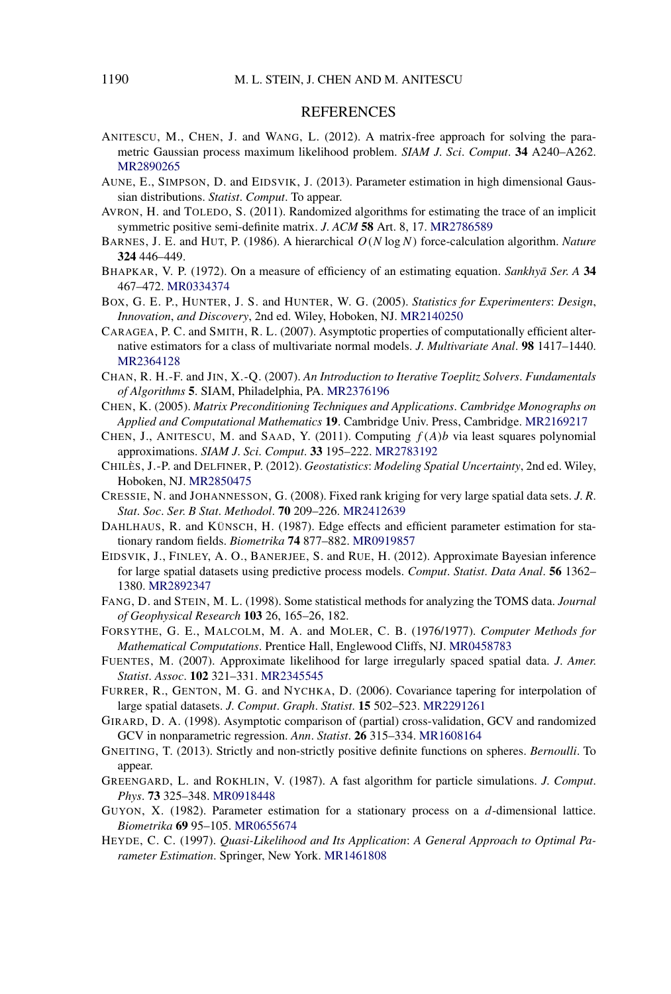## **REFERENCES**

- <span id="page-28-0"></span>ANITESCU, M., CHEN, J. and WANG, L. (2012). A matrix-free approach for solving the parametric Gaussian process maximum likelihood problem. *SIAM J*. *Sci*. *Comput*. **34** A240–A262. [MR2890265](http://www.ams.org/mathscinet-getitem?mr=2890265)
- AUNE, E., SIMPSON, D. and EIDSVIK, J. (2013). Parameter estimation in high dimensional Gaussian distributions. *Statist*. *Comput*. To appear.
- AVRON, H. and TOLEDO, S. (2011). Randomized algorithms for estimating the trace of an implicit symmetric positive semi-definite matrix. *J*. *ACM* **58** Art. 8, 17. [MR2786589](http://www.ams.org/mathscinet-getitem?mr=2786589)
- BARNES, J. E. and HUT, P. (1986). A hierarchical *O(N* log*N )* force-calculation algorithm. *Nature* **324** 446–449.
- BHAPKAR, V. P. (1972). On a measure of efficiency of an estimating equation. *Sankhya Ser. A* 34 467–472. [MR0334374](http://www.ams.org/mathscinet-getitem?mr=0334374)
- BOX, G. E. P., HUNTER, J. S. and HUNTER, W. G. (2005). *Statistics for Experimenters*: *Design*, *Innovation*, *and Discovery*, 2nd ed. Wiley, Hoboken, NJ. [MR2140250](http://www.ams.org/mathscinet-getitem?mr=2140250)
- CARAGEA, P. C. and SMITH, R. L. (2007). Asymptotic properties of computationally efficient alternative estimators for a class of multivariate normal models. *J*. *Multivariate Anal*. **98** 1417–1440. [MR2364128](http://www.ams.org/mathscinet-getitem?mr=2364128)
- CHAN, R. H.-F. and JIN, X.-Q. (2007). *An Introduction to Iterative Toeplitz Solvers*. *Fundamentals of Algorithms* **5**. SIAM, Philadelphia, PA. [MR2376196](http://www.ams.org/mathscinet-getitem?mr=2376196)
- CHEN, K. (2005). *Matrix Preconditioning Techniques and Applications*. *Cambridge Monographs on Applied and Computational Mathematics* **19**. Cambridge Univ. Press, Cambridge. [MR2169217](http://www.ams.org/mathscinet-getitem?mr=2169217)
- CHEN, J., ANITESCU, M. and SAAD, Y. (2011). Computing  $f(A)b$  via least squares polynomial approximations. *SIAM J*. *Sci*. *Comput*. **33** 195–222. [MR2783192](http://www.ams.org/mathscinet-getitem?mr=2783192)
- CHILÈS, J.-P. and DELFINER, P. (2012). *Geostatistics*: *Modeling Spatial Uncertainty*, 2nd ed. Wiley, Hoboken, NJ. [MR2850475](http://www.ams.org/mathscinet-getitem?mr=2850475)
- CRESSIE, N. and JOHANNESSON, G. (2008). Fixed rank kriging for very large spatial data sets. *J*. *R*. *Stat*. *Soc*. *Ser*. *B Stat*. *Methodol*. **70** 209–226. [MR2412639](http://www.ams.org/mathscinet-getitem?mr=2412639)
- DAHLHAUS, R. and KÜNSCH, H. (1987). Edge effects and efficient parameter estimation for stationary random fields. *Biometrika* **74** 877–882. [MR0919857](http://www.ams.org/mathscinet-getitem?mr=0919857)
- EIDSVIK, J., FINLEY, A. O., BANERJEE, S. and RUE, H. (2012). Approximate Bayesian inference for large spatial datasets using predictive process models. *Comput*. *Statist*. *Data Anal*. **56** 1362– 1380. [MR2892347](http://www.ams.org/mathscinet-getitem?mr=2892347)
- FANG, D. and STEIN, M. L. (1998). Some statistical methods for analyzing the TOMS data. *Journal of Geophysical Research* **103** 26, 165–26, 182.
- FORSYTHE, G. E., MALCOLM, M. A. and MOLER, C. B. (1976/1977). *Computer Methods for Mathematical Computations*. Prentice Hall, Englewood Cliffs, NJ. [MR0458783](http://www.ams.org/mathscinet-getitem?mr=0458783)
- FUENTES, M. (2007). Approximate likelihood for large irregularly spaced spatial data. *J*. *Amer*. *Statist*. *Assoc*. **102** 321–331. [MR2345545](http://www.ams.org/mathscinet-getitem?mr=2345545)
- FURRER, R., GENTON, M. G. and NYCHKA, D. (2006). Covariance tapering for interpolation of large spatial datasets. *J*. *Comput*. *Graph*. *Statist*. **15** 502–523. [MR2291261](http://www.ams.org/mathscinet-getitem?mr=2291261)
- GIRARD, D. A. (1998). Asymptotic comparison of (partial) cross-validation, GCV and randomized GCV in nonparametric regression. *Ann*. *Statist*. **26** 315–334. [MR1608164](http://www.ams.org/mathscinet-getitem?mr=1608164)
- GNEITING, T. (2013). Strictly and non-strictly positive definite functions on spheres. *Bernoulli*. To appear.
- GREENGARD, L. and ROKHLIN, V. (1987). A fast algorithm for particle simulations. *J*. *Comput*. *Phys*. **73** 325–348. [MR0918448](http://www.ams.org/mathscinet-getitem?mr=0918448)
- GUYON, X. (1982). Parameter estimation for a stationary process on a *d*-dimensional lattice. *Biometrika* **69** 95–105. [MR0655674](http://www.ams.org/mathscinet-getitem?mr=0655674)
- HEYDE, C. C. (1997). *Quasi-Likelihood and Its Application*: *A General Approach to Optimal Parameter Estimation*. Springer, New York. [MR1461808](http://www.ams.org/mathscinet-getitem?mr=1461808)